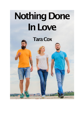# **Nothing Done** In Love

# **Tara Cox**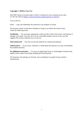#### **Copyright © 2020 by Tara Cox**

This PDF format is licensed under Creative Commons for non-commercial use only. CC BY-NC-ND 4.0 [\(https://creativecommons.org/licenses/by-nc-nd/4.0/\)](https://creativecommons.org/licenses/by-nc-nd/4.0/)

You are free to:

Share — copy and redistribute the material in any medium or format

The licensor cannot revoke these freedoms as long as you follow the license terms. Under the following terms:

**Attribution** — You must give appropriate credit, provide a link to the license, and indicate if changes were made. You may do so in any reasonable manner, but not in any way that suggests the licensor endorses you or your use.

**NonCommercial** — You may not use the material for commercial purposes.

**NoDerivatives** — If you remix, transform, or build upon the material, you may not distribute the modified material.

**No additional restrictions** — You may not apply legal terms or technological measures that legally restrict others from doing anything the license permits.

All characters and settings are fictional. Any resemblance to people living or dead is unintentional.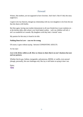#### Forward

<span id="page-2-0"></span>Writers, like mothers, are not supposed to have favorites. And I don't. But if I did, this story might be it.

I aspire to be Joy Danvers, though my relationship with my own daughters is far from the one that she shares with Kaitlin.

But then again, having your mother demonstrate to all your friends how to put condoms on – at the kitchen table, after school, over fresh baked cookies – well, my children will tell, it ain't as wonderful as it sounds. My daughters wish they had a 'normal' mom.

My passion for this story is found in its title:

#### **Nothing Done In Love – can ever be wrong.**

Of course, it goes without saying - between CONSENTING ADULTS.

As Joy says:

#### *Love is the divine within us all. How we choose to share that is no one's business but ours and our partners.*

Whether that be gay, lesbian, transgender, polyamorous, BDSM, or vanilla, even asexual (though, personally, this one challenges me). But Joy is still better at saying it than I am.

Enjoy, *Tara*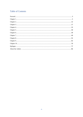# **Table of Contents**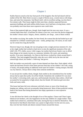### Chapter 1

<span id="page-4-0"></span>Kaitlin Danvers stood on the tiny front porch of the bungalow that she had shared with her mother all her life. Main Street was just a couple of blocks away, a tourist mecca with shops, bars, and some fine restaurants. Seal Beach itself, with its excellent surfing, was less than a five-minute walk. Their house might be little more than a shoebox squeezed between apartment buildings and multi-million dollar houses, but it had been a loving home, which was probably more than those more expensive ones could claim.

None of that mattered right now, though. Katie fought back the tears once more. It was a constant battle these days. It had been for almost a year now, ever since the doctors diagnosed her mother's breast cancer. Surgery, chemo, radiation, new drugs…none of them worked.

Her mother was dying. Her mother, her best friend, the woman that she had looked up to and emulated for a lifetime would be gone soon—weeks, perhaps days. Of course, no one could say for certain how long she had left.

However long it was, though, she was not going to miss a single precious moment of it. Just as her single mother had worked so hard never to miss the significant moments of her only child's life. PTA, ballet, soccer, Little League, her mother had always found a way to afford those things on her measly income as a masseuse, herbalist, life coach, and sometimes psychic. Even more importantly, Joy Danvers had always worked her clients around Katie's schedule. They had struggled financially when she was a child, but by the time she had entered high school, her mother's 'following' had grown.

Hell, her mother was practically a guru of some damned sort these days. Katie sighed, which meant she had been forced to share these precious final days of her mother's life with a string of needy, rich people putting an additional strain upon her mother's waning energies. But that was Joy Danvers. Always there to help when someone needed her.

It was not just her wealthy clients, though. Katie smiled as she remembered how her mother always had an open-door policy for all her friends. Sometimes she wondered if it was more her mother's welcoming smile, open ears, and homemade chocolate chip cookies, which had accounted for her popularity in high school, than her blonde All-American girl-next-door looks and sunny smile.

This house had been full every afternoon with half a dozen or more of her friends just hanging out, talking, and even occasionally doing homework. Most of them preferred coming home to her house than letting themselves into empty apartments or even expensive mansions.

A tear slid down her cheek as she thought of two of the regulars, Chance and Chase Logan. Identical twin brothers, who also happened to be the only children of a single mother. Their mother had worked two, sometimes three jobs, leaving the boys to fend for themselves. They had moved to Seal Beach when Katie was a junior in high school. For the next two years, they were her best friends and almost constant fixtures around this house.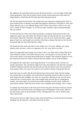She sighed as she remembered the last time she had seen them. It was the night of their high school graduation. They had all joined a bunch of their friends afterward on the beach for illegal bonfires. It had been the first time that Katie had gotten drunk.

Oh, she had tasted alcohol before. Her mother had never believed in sheltering her child, so from around twelve or thirteen, her mother had regularly offered her a half glass of wine with dinner. But that was a very different thing to half a dozen wine coolers, a beer or two, and even a couple of shots of tequila. To say she was tipsy would be a gross misrepresentation. She was wasted.

If it had not been for Chase and Chance practically carrying her home between them, she might have gotten into real trouble. She shook her head, not that she had not, even with her best friends. Especially with them. That night was why she never drank more than a single glass of wine ever, and usually not even that. It had been a disaster that had cost her the best friends she had ever had. Other than her mother.

She should go back inside and check on her mother now. Of course, Melody, the young hospice nurse was here, so this was supposed to be 'her' time. But to do what?

Sleep was impossibly hard coming. Even when it did, it was fitful. Katie usually slept in the chair beside her mother's bed rather than her room, even though it was just next door. She never really made it to the deep dream-filled kind of slumber. She remained vigilant for even the tiniest moan from her mother to indicate that she needed a top-up of the morphine.

She supposed she could take a stroll along the beach. It was almost sunset, and that was usually spectacular. The cool breeze might even relax and soothe her a bit after the scorching Southern California summer heat. But the truth was that she did not want to be around that many people. There were sure to be loads on such a perfect summer evening like this one.

Katie had come to realize that she had inherited more than just her looks from her mother. Her psychic gifts as an empath, who could read the emotional turmoil of others as surely as some might read their thoughts, was more of a curse than a blessing. It had, over the years, turned her into a virtual recluse, who came straight home from her job as a kindergarten teacher, who rarely dated, and would do just about anything to avoid crowds. Unlike her semi-famous mother, Katie had never found a way to dampen those feelings - hers or others.

So instead, she stood alone on the front porch of the only place she had ever known as home and looked off towards the beach, just hoping to get a brief glimpse of the sunset. Much as she had always stood on the perimeters of life, watching others live, but too afraid to take those risks herself.

All except for that one night. That one time when she had been so drunk that she had jumped headlong into the deep end - and almost drowned. In them.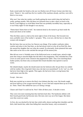Katie cursed under her breath as she saw two Harleys turn off Ocean Avenue onto their tiny street. 'Damn it,' she could hear the low rumble of the machines already, and they were still a block or two away.

Why now? Just when her mother was finally getting the most restful sleep she had had in weeks, perhaps months. Why did these two jackasses have to take a short cut back to the Pacific Coast Highway to avoid Main Street that was probably incredibly busy, especially as it was Friday night? Or she thought it was anyway.

"Damn them! Damn them to hell," she muttered aloud as she turned to go back inside the house and check on her mother.

Then the bikes came to a halt on the street right in front of the house. She frowned even more, probably more of her mother's 'groupies.' Why, even now, did she have to share the woman with strangers?

But she knew that was not how Joy Danvers saw things. If her mother could give others comfort and solace in her final days, as she had always tried to in her all too brief life, then she assured her daughter that was what she wanted. So reluctantly, Katie plastered that same fake smile on her face as she watched the men get off the motorcycles.

Men did not cover it. Probably more of the Hollywood actor or model types, attired in tight jeans that clung to muscled thighs that left little to the imagination. They reminded her of the covers on some spicier erotic romances that peppered her tablet. They wore matching black leather jackets, but those only accentuated their broad shoulders that tapered to narrow waists.

She inhaled deeply; maybe she should sneak into her bedroom after she got these two settled with her mother. How long had it been since she had even masturbated? As for 'real' sex, that had never been high on her agenda. Then again, she had never been a raving beauty that could attract men like this.

Except...that once.

Both men reached up to remove the black visor helmets that they wore. Her breath caught and froze halfway to her oxygen-starved lungs. It was if she had conjured them up out of thin air. Them. Them? She rubbed her eyes as if seeing a mirage.

Chance and Chase? It could not be. Now? After all these years. A decade or more.

They were even more stunning than they had been back then. The handsome athletes with their boyish good looks had become men. Hot men; men way out of her league. But damn were they sweet eye candy.

At first, she was shocked by the hair that curled softly almost reaching their shoulders and the thick, dark beards that, rather than hiding their masculine beauty, only accentuated it.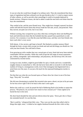It was not what she would have thought of as military-style. Then she remembered that those types of regulations had been softened over the past decade as the U. S. tried to respect norms of other cultures, as well as provide what camouflage it could to its people deployed in hostile territory. Whatever reason, she had to admit it made the men look even hotter than the boys she remembered.

They smiled at her, and the years floated away. They might have changed, matured, but those smiles still held the boyish charm that always made her feel safe, secure, and protected. Then they moved, not quite ran to her, but it was close.

Without warning, they scooped her up as they often had, swirling her about and shuffling her back and forth between them like the footballs that they passed from quarterback to wide receiver. For a moment, it was like the years had fallen away, and they were best friends who knew each other's every secret.

Well almost. A few secrets a girl kept to herself. She blushed as another memory flitted through her brain -except when you get too drunk and said and did things you should not. Not with your best friends. Not with both of them.

Even growing up with a mother that was a sexual guru of sorts, Katie had never been entirely comfortable with her sexuality. While she could accept the full range of sexual expression: gay, lesbian, transgender, open relationships, and polyamory, she had always felt a bit more constrained by societal norms.

Loving two men, brothers, might be great fodder for spicy e-books and even a wonderfully naughty fantasy to masturbate to. Still, she had never been able to reconcile it with the harsh realities of living in a monogamous world, even if that monogamy had degenerated into a serial form over the years. It was just a bit much for the repressed kindergarten teacher to handle.

Not that that was what she was focused upon as Chance drew her closer in one of his bear hugs, "Katy-did," he smiled.

She felt tears threatening to explode like torrential rains upon a desert, not just at his pet name for her but at how right it felt to be back in this man's arms again.

Before she could say a word, he passed the ball of blithering flesh to his brother to repeat the process, "Oh princess, do you know how much we have missed you?" Chase sighed as he buried his face in her neck.

His short beard abraded her skin and sent shivers down her spine. 'Down girl, this is Chase,' she reminded herself. It is not like that.

'But it could be,' whispered that little voice. 'They were not the ones that called a halt to things that night, sister,' it chided as her nipples hardened beneath the thin t-shirt as they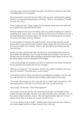came into contact with the soft leather of his jacket. The smell of it and the man sent liquid heat bubbling like lava in her panties.

She forced herself to draw back from the embrace that was more comforting than anything had been in so long that she had forgotten such things. "What are you doing here? I thought you were in the Navy."

"Were is right, Katy-did," Chance stepped forward, placing a hand on her lower back until she was practically sandwiched between them.

Her throat tightened even more at the feeling, which was quickly morphing from comfort to something much closer to need. A sexual need that she had only felt once before in her life. A need that had become her favorite fantasy. The one that never failed to get her off, whether she used just her fingers or her toy collection.

A vivid menagerie of memories and might-have-been. Arms and legs entwined, pressed between them, overpowered and taken. Desired, wanted, needed, and even loved as she had never been, probably never would be. 'Damn it, girl. Stop. Before you fucking come just from their hugs.'

But that was easier said than done after a decade of hot, erotic fantasies fed by books of a dozen authors all extolling the joys of loving and being loved by brothers. Katie had been shocked when she first got her tablet and began to download raunchy ebooks to discover that her darkest fantasy was not as uncommon as she thought.

It was just that perhaps she had gotten a tad closer to reality than most women. She had had her own personal cover models since she was a teenager.

"What are you doing here?" she stammered. Did her voice sounds as breathless and sexy to them, she wondered. "Does Mom know you are coming?"

Chase shook his head as Chance answered from just behind her, standing so close now that she could smell him too. Was that his jeans brushing roughly against her bare legs?

"Not exactly. She messaged us a few weeks ago, but we couldn't make any promises. I had some final business to deal with for Uncle Sam, and Chase was still recovering."

"Recovering?" she frowned. "What? What happened?"

Chase smiled, and for the first time, she noticed that his tan skin was a bit paler than his brothers, his smile a bit tighter, the dark circles under those baby blues a bit darker. "We will have plenty of time to talk later, princess. The only thing that matters right now is that we made it in time. That we are here. For our girls, for both of you."

"So, are you going to invite us inside?" rumbled a deep chuckle from the chest, which was now pressed against her back as Chance buried his face in her neck.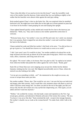"Since when did either of you need an invite into this house?" came the incredibly weak voice of her mother from the doorway. Katie noticed that Joy was holding so tightly to her walker that her knuckles were almost white against the steel grey tubing.

Katie pushed against Chase's chest as she broke free. She was surprised when he stumbled backward a bit. He might have even fallen flat on that tight ass in those painted on jeans had it not been for his brother's hand grasping his arm and keeping him upright.

Chase righted himself quickly as they smiled and crossed the few feet to the doorway just behind her. "Hello, Joy," they said in unison as her mother opened the screen door in welcome.

"Welcome home, boys," her mother's voice was still flat and weak. Joy's smile was strained, but it was genuine. Katie wrapped her arm about her mother's waist and would have helped her back to the bedroom.

Chance pushed her aside and lifted her mother's frail body in his arms. "You did not have to get up to greet us. You should have known we would come as soon as we could."

"I did. I just wasn't sure if it would be in time," her mother nodded as he placed her on the large sectional sofa that took up almost all of the open plan living space, which was a dining room, office, classroom, and living room all in one.

He sighed, "We weren't either, to be honest. But I am glad we did," he replied as he looked from where his brother had pushed the walker against the wall to Katie. "Really glad."

Katie felt as if those blue eyes were stripping away not just her clothes but her darkest fantasies, looking into her very soul. She fidgeted uncomfortably next to Chase, whom she noticed was also looking at her oddly.

"Let me get you something to drink…eat?" she stammered as she sought an excuse, any excuse to escape those stares just then.

Her mother nodded, "Please, dear. That would be very nice. I am sure the boys are both tired and hungry after their journey. And I would like a few moments alone with them to catch up while I still have some energy left. You three can talk for the rest of the night, just like you always did, but this old woman can't stay up that late chaperoning you. Then again, you are adults and don't need one anymore."

"Mother," she scolded the woman, who had made a name and reputation as the New Age sexual guru, priestess, and alternative lifestyles advocate of the twenty-first century. "Be nice. You know it was never like that." Katie stretched the truth - except in her teenage fantasies. Her mother's chuckle was as weak as the woman herself, "Go make food, while I talk to the boys."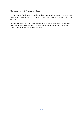"Do you need any help?" volunteered Chase.

But she shook her head. No, she needed time alone to think and regroup. Time to breathe and make a plan for how she was going to handle things. Them. "How long are you staying?" she whispered.

"As long as you need us." They both replied with that smile that sent butterflies skittering into flight and her scurrying quickly into retreat in the kitchen. She was in trouble, big trouble, twin fantasy trouble. And Katie knew it.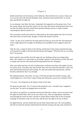#### Chapter 2

<span id="page-11-0"></span>Kaitlin stood frozen in the doorway of her bedroom. She tried hard not to stare at Chase, but it was not just the well-muscled shoulders, back, and bottom that transfixed her. It was the legs, specifically his right one.

It was missing. Gone below the knee. Amputated, she supposed was the proper term. From the wound, stump, she forced her mind to use the word; dark silvery pink puckered burn scars rose like the flames that had created them upwards licking at and on a couple of points consuming his otherwise perfect ass.

She covered her mouth and sucked in a deep breath as she leaned against the wall. Even that must have been too much noise, though, as Chase half turned to face her.

"Fuck," he spat as he reached for the large bath towel that lay across her bed. He leaned part of his weight against the wrought iron headboard as he grabbed it and wrapped it about his waist.

Only his calf, a couple of inches of his left leg, and the hint of that stump remained showing as he leaned his weight on the bed and half turned, half hopped. "What the fuck are you doing here?" he growled.

Katie wanted to turn and flee from the anger she saw flashing in those once happy baby blues. She wanted to cry and scream at yet another injustice in this fucked up world. She tried to simply melt into the cold, hardwood flooring beneath her feet. Disappear.

Only once before had she ever felt so embarrassed, so distant from them. She sighed, but this was much worse. Even then, they had not been mad. Not even when she had been a total cock tease and left them both hard and wanting. No, they had smiled and reassured her, told her that they understood, that it was all right.

But nothing had been. Not really, not since. If she had lost them that fateful evening, what would happen now with Chase's anger boiling and rolling like a geyser just waiting to blow?

"I'm sorry," she whispered as she began to back out the door.

He shook his dark head, "No, I'm the one that should be sorry. I shouldn't have snapped at you like that," he said as he plopped down on her bed.

The silence was painful as it stretched out between them like a chasm, worse even than it had the night she teased them. She was not sure what to say, what was appropriate. Questions raced through her mind, but after a decade of virtual silence broken only by the occasional exchange of Christmas cards over the years, did she have the right to ask any of them?

He sighed heavily, and she looked back up into those intense blue eyes. Oh, sweet goddess, she had not until that moment realized that she had been staring at his leg, what remained of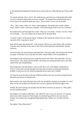it. She blushed and opened her mouth, but no words came out. What did she say? What could she?

"Go ahead, princess. Say it. Ask it. We could always read what was in that pretty little mind of yours, sometimes better than you know yourself." He leaned back and pinned her with a severe stare as he shook his head once more, "Never mind, I'll save you the trouble.

"War…dirty, messy, shitty war. That is what happened. The details don't matter all that much. And no, I don't want your sympathy. I have had enough of that to last me a lifetime."

He reached down and massaged the wound. "They say I was lucky. At least, I'm alive. Some of my friends…" his voice trailed off, his hand still on the pink flesh.

"It doesn't matter. In the grand scheme of things in this fucked up world we live in, what is one man's life? A leg here or there?"

Katie felt his pain; she always did - with everyone. But his was more intense. She wanted to cross the room, hold him in her arms as they had so often held and comforted her, but she could not.

Too much time, too much distance separated them. That man-child, who had been her friend, was gone. In his place was a man that was bitter, almost beaten. Even if justifiably so.

She inhaled as she realized just how tough this must be for Chase. Him especially. The star wide receiver, who, along with his brother's throwing arm, had gotten their team to the final round of the state championship.

The young man, who had chosen a career in the Navy over a full athletic scholarship to UCLA. A man who everyone thought even had a decent chance of playing professional football. A track star too, for whom running had always been such a release.

Yet, here he sat on the side of the bed. While his brother, his twin, ran alone along the beach, they had once known so damned well.

She wanted to ask, knew that these days with new prosthetics running was possible. So, why? Why was he not out there too? But that also was not a question she had any right to ask.

Instead, she went with the one question that she felt he owed her an answer to, "Why didn't you say anything earlier?"

He laughed, if it could be called that. "Say what? Oh, nice to see you, princess. If worrying about your mother dying isn't bad enough, my damned leg got blown away on my last mission. Not exactly how I imagined things going when I finally saw you after all these years."

She sighed, "Does Mom know?"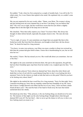He nodded, "Yeah, when Joy first contacted us a couple of months back, I was still in the VA rehab center. So, it was Chance that replied to her email. He explained why we couldn't come right away."

She was not surprised by his next words, either. "Damn, your Mom. The woman is dying, and she fucking texts me every damned day to see how I am doing. Can you believe that shit?" His voice was so tight, and she would have sworn that his eyes shone a slightly brighter blue in the dim light of the lamp next to her bed.

She chuckled, "Does that really surprise you, Chase? You know Mom. She always has thought of others before herself, especially the people closest to her. The ones she truly loves."

"You're right, of course. It's just sometimes you forget there are people like that in this fucked up world. But from that first afternoon, you brought us back here; she has always been," he shook his head for a long moment.

"You know, in some ways princess, your Mom was more a mother to those two screwed up kids than the woman that gave birth to them. I know this is heartbreaking for you, but we will miss her too."

She smiled, "I know. She has missed you two. She would talk about you sometimes. Just out of the blue."

She sighed as the years stretched out between them. Her part in the separation, the gulf that had torn their friendship apart, kept them from her mother even, weighed upon her then. "I'm sorry."

"Sorry for what, princess? Sorry about my damned leg? Sorry about the stink, blood, and death that we have lived with for so god damned long that we don't even fucking feel alive anymore? Sorry for the choices we made as kids that took us to this point? What do you have to be fucking sorry about, Katie?"

She sighed as she studied the bare wood floor for a long moment, "Sorry for that night. Sorry, I messed everything up. Sorry that my stupidity ruined the best friendship of my life. Sorry that it drove a wedge between even Mom and the two of you. Sorry, I have not been a better friend all these years." She used the back of her hand to brush away the tears that trailed unchecked down her cheeks.

He looked up at her then, "That, princess, is the one fucking thing you should never be sorry for. The memory of that night was the only fucking thing I thought about when that god damned IED went off. The fact that I…that we never got the chance to tell you, to show you how fucking much you mean to us."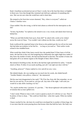Katie's heartbeat accelerated not just at Chase's words, but at the heat that shone so brightly in those eyes. Eyes that though they remained sad, held just a glimmer of something else now. She was not sure what she would have said or done then.

She jumped as the front door screen slammed, "Hey, where is everyone?" called out Chance's familiar voice.

Chase nodded. Was she wrong, or did he look almost as relieved for the interruption as she felt?

"In here, big brother," he replied as she turned to see a very sweaty and naked chest loom up behind her.

"What you and little brother been up to, Katy-did?" he asked with a smile as he winked across the room at Chase. "You wouldn't start without me this time, would you, bro?"

Katie swallowed the surprised lump in her throat as she pushed past the two all-too hot studs that had taken up residence in her bed for… 'as long as you need us.' Their earlier words echoed in her muddled brain.

What would they think if they knew exactly how she needed them? If they knew of all the times, she had lain in that very bed imagining how differently that night might have ended. If they knew the number of times, she had touched herself in that bed. The number of times she had gotten off to an intense orgasm at the thought of them. Both of them.

But instead of dwelling on that, she did as she had that night and bolted for safety. "I should check on Mom. If either of you needs anything, just call. I am right next door with her."

"Anything, princess?" Chance replied in a low and all too sexy voice.

She inhaled deeply, she was reading way too much into his words, she chided herself. "Another blanket, extra pillows, whatever," she stammered.

Did the man look disappointed at her reply? "We'll be fine, Katy-did. But remember, we are here for you and Joy. If you need us, you just call. Any time of the night. I still wish you would let us take shifts watching over her."

"No, maybe another time, I promise. It's just that…" Her throat tightened with another kind of emotion then as tears spilled over.

"I don't mind. Whatever time is left, I want to spend as much of it with her as I can. There'll be plenty of time to sleep…" She could not finish then - when she is gone. When my mother is dead.

Chance reached for her, she knew he would have enveloped her in another of those hugs, but it was more than the sweat pouring down that bronze chest that held her back. Her body was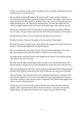already on overload on so many levels: her mother, Chase's leg, their unexpected arrival, her uncertain future. It was all too much.

She was afraid of what might happen if she gave in to the intense need just to be held, cocooned between their bodies, comforted as only they had ever been able to. She would not, could not, make that same mistake as she had as a teen. She would not do anything else that might push them away, not when she just had them back. Not when she needed her best friends, so goddess damned much. She would not lose them again. She could not, not now.

She put up a hand, placed it over his heart that was still pounding so fucking fast from his run. "It's okay. You get a shower and some rest. We'll talk more tomorrow. Catch up then."

She turned back to Chase, "You too. Sleep well, and call me if you need me."

He shook his head, "Trust me; I do, princess. If you only knew. Good night."

She made her escape as quickly as she could. But not fast enough as she heard Chance close the door, "What the fuck happened?" he asked his brother.

She was wondering the same thing to herself. What the fuck had happened to those three kids, who had gone too far that fateful night - or maybe it was not far enough?

She supposed she would never know as she slipped into her mother's room and took up her vigil in the recliner next to the bed.

She knew that this night would bring no relief. No sleep or even the blissful release of her darkest fantasies. Fantasies that were flesh and blood just on the other side of that thin wall.

What was she going to do? However, was she going to get through this all? If those questions had been in her mind for weeks and months, never in the same way as they were this night.

Chase and Chance. She chuckled at their names. Had their mother done it on purpose? How often had she laughed over the irony of what might have been if that eighteen-year-old girl had had the courage to Chase after her Chance at happiness? She stifled another giggle at her silliness, lest she wakes her mother.

She did not want to face any of the questions that the woman might ask. How could she possibly answer questions that she had no answers for herself…even after a decade? She sighed and gave up trying as she closed her eyes, trying to nap a bit while she could.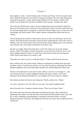### Chapter 3

<span id="page-16-0"></span>Katie sighed. A week. A whole fucking week of Chance and Chase. On the one hand, it had been wonderful having four extra hands to manage everything. They were especially good at 'policing the perimeter' as they called setting boundaries for her mother's clients. If her mother was not doing well, they had no problem merely saying, "Another time, dude."

Even when Joy did feel up to visitors, the two hulking brutes always stood just outside the doorway with massive arms crossed over those spectacular chests. One look would send even the most devoted groupie scurrying like a cockroach when the lights came on. They were also surprisingly well house trained. They cooked, cleaned, and generally looked after the two women.

The one thing that she refused to allow them to do was to take over the primary care for her mother. Katie had become increasingly territorial about maintaining her vigil at the woman's bedside as she felt what precious time she had with her mother slipping away. Even when her nurse Melody came, she usually remained by her mother's side.

But that was alright. What else did she have to do? The school was out for the summer anyway. Sleep? Was highly overrated. Especially as every time she closed her eyes, it was futile, naughty fantasies of them. So, other than a brief shower break each morning after coffee, Katie stayed glued to her mother's side.

"Katy-did, how about we go for a walk after dinner?" Chance asked from the doorway.

How could the man, men, both of them, looking so fucking hot in nothing more than jeans and black t-shirts. It seemed to be all they ever wore. But it perfectly accentuated the almost shoulder-length hair that curled about their chiseled faces and the deep blue of those eyes.

Damn it; she might need an extra shower today. Either a cold one or a bit longer to…take care of business as her sexually enlightened mother had always called it. The sexual frustration of just being around these two was enough to drive any woman to a Hitachi.

She smiled and shook her head as she whispered, "Maybe another time. Thanks."

"Go, dear, I promise I won't die while you are gone," her mother laughed weakly.

Katie frowned at Joy's attempt at macabre humor, "That was not funny, Mom."

Her mother shook her head that still had more blond hair than grey. How could this be happening? Her mother was only fifty-three. She should have had another twenty years with her, at least. Weddings and grandchildren, Christmases and anniversaries, too many milestones that she would miss. She fought back the tears once more. How would she survive without her?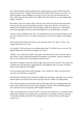She could see that her mother tapped into her waning energy reserves to lift her hand and brush away her tears. "I taught you better than that, Kaitlin. When life gives us lemons, we make lemonade, lemon meringue pie, and tarts. We are the only ones that determine our Fates. And yours has always been to be a light in this dark world. So, no more hiding under bushels, beautiful."

Her mother's lips were turning whiter with each word. She knew the pain that each breath took now that the cancer had reached her mother's lungs. Ironic that she, who had never smoked, never polluted her body with such things would die of lung cancer. Although the tumor growing larger by the day in her head might beat it to the final knock-out punch.

"Chance, put my daughter to bed. She is so tired that she has lost not only all perspective but her sense of humor as well," her mother tried her best to smile, but her light was dwindling too fast.

Katie swallowed the lump in her throat as she shook her head, "No, Mom, I'm fine. I get enough sleep here next to you."

Joy chuckled, "Did you hear me say anything about sleep? I told him to put you to bed. The damned things have more than one purpose, you know."

"Mother," she scolded with a blush. Then again, what else did she expect from the woman upon whom a writer friend had modeled the outrageous sex-therapist, yoga diva mother-inlaw for one of Hollywood's most popular comedy movies?

Katie had even gotten to meet the famous singer and actress cast for the role. The woman was a method actor and spent hours sipping herb tea and laughing in this very house. The place held so many memories, she thought.

As if her mother had read her earlier thoughts, "Don't mother me. When was the last time you took care of business, young lady?"

Katie blushed so deeply that she feared she might burst into flames, especially since she knew damned good and well that Chance knew precisely what her mother was talking about.

This woman had taken it upon herself to fill in all the gaps that busy or uptight parents and public school health classes missed with her daughter's friends. It did not help though that she could hear the low and partially stifled laughter behind her.

"Have you forgotten how, sweetie? Or why? You know how important it is to keep the sacral chakra open. Without your second chakra, your life force and energy cannot flow upwards. You become blocked, your whole life constipated, dear. You know that is not the legacy I want for you."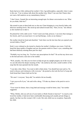Katie had never fully embraced her mother's New Age philosophies, especially when it came to this one. "Can we please talk about this another time, Mom? I am sure that Chance does not want a full rundown on my masturbatory history."

"I don't know. Sounds like an interesting enough topic for dinner conversation to me. What do you think, little bro?"

She turned to stare at them both now as she saw Chase bringing in a tray heavily laden with delicious smelling bowls. She stood up and rushed towards him, "Here, let me," she offered as she reached out to take it.

He pinned her with a dark scowl, "I don't need your help, princess. I can more than manage a few bowls, and if you must know it is not bad therapy, works on my balance."

Her mother shook her head and chuckled, "And when was the last time that you opened your second chakra, Chase?"

Katie's eyes widened as she turned to chastise her mother's boldness once more. Until she heard the deep rumble of laughter and saw the genuine mirth in Chase's eyes, something that had been distinctly missing these past few days.

"Probably way too long, Joy. You have any prescriptions for that?" He sat the tray down next to the bed and took a seat next to her mother.

"Well, actually, I do. But you two have to help me get my uptight progeny out of the way so we can talk about the deeper meaning of life," she smiled as she took a small swallow of the soup that the man spooned into her mouth.

"I can take a hint, Mom. You want to talk to them alone. You should have just said so. No need to discuss such intimacies with everyone," she pouted as she took the bowl of soup and fresh bread that Chance held out for her.

"We aren't 'everyone,' Katy-did," he smiled a bit too broadly.

"I give up on all of you," she said with a shrug. "I'll take my dinner to the porch to eat in peace."

"Your room for dinner, then a long bath and massage would be better, dear," her mother suggested.

"What, Mother, did you call one of your tantric or Reiki friends to heal me?" As much as she loved her mother, it had never been comfortable discussing such usually private things so openly, but that was this woman's life's work. Her only child was no exception. Especially her child.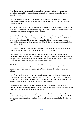"No, Katie, you know that tantra is best practiced within the confines of a loving and committed relationship. Our sexual energy especially is a precious commodity, not to be abused or wasted."

Katie had always considered it ironic that her hippie mother's philosophies on sexual promiscuity were so closely matched to those of the Christian far-right. For very different reasons, of course.

Joy Danvers was always an odd mixture of sexual liberation with her message, 'Nothing done in love can ever be a sin.' But that was the key…done in love. Though her definition of love was far broader, encompassing all different lifestyles.

She smiled, then again, her mother had never fit anyone's comfortable mold. She had never been the type to follow the rules. Hell, her mother had been born to break them. A hippie psychic, personal trainer, life coach, and a dozen other things, who had taught her beloved only child to question everything and everyone. Herself first and foremost. A thoughtful life, her mother called it.

"Yes, Mom, I know that - which is why I am afraid I shall have to pass on the massage. Will it make you happy if I promise to meditate a bit after you go to sleep?"

"As backed up as your energies are, my dear? Katie, you are a classic case study in an underactive second chakra. You fear pleasure and deny yourself the things that can make you feel good. You'll make up any excuse not to have something you really want. Your creativity is blocked; you always feel sluggish and have a weak sex drive."

"And let's don't even talk about your need to 'fit in.' I always taught you to be your true and authentic self. You can't manifest any of what you desire because your thoughts and emotions tend to lean towards negativity, dear," her mother shook her head against her pillow.

Katie fought back the tears. Her mother's words were as strong a rebuke as the woman had ever given her. "And all of that would just magically change if what, Mother? If I got laid? Right now, sex is just about the last thing from my mind, Mom." Well, most of the time, she amended in her mind, surrounded as she was with testosterone.

"You know that is not what I am saying either, so don't give me that, young lady. But tonight, you are following my orders, for once," her mother's smile softened her words as she turned to Chance, who still leaned near the doorway.

"Be a dear, and run my stubborn daughter a warm bath. Burn the rose candles and look in the cupboards for the jasmine and ylang-ylang oils. Add a few drops of each to the water. And if she won't be a good girl, I trust you know how to strip a woman and make her do what you want?"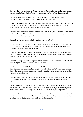She was relieved to see that even Chance was a bit embarrassed by her mother's question as his ears turned a bright shade of pink. "Once or twice, maybe, Ma'am," he stammered.

Her mother winked at his brother as she sipped a bit more of the soup he offered, "Yes, I imagine you two do not usually find the women all that recalcitrant."

Chase shook his head and chuckled until Joy speared him with her stare. "Don't think you get off so easily, young man. Your energies are almost as bad as my daughter's. You think I cannot see how brown, almost black your aura has become?"

Katie could see the effort it took for her mother to reach up and, with a trembling hand, caress his bearded cheek, "You used to have the brightest silver aura I have ever seen, you remember what that means, Chase?"

He nodded, "I haven't felt very lucky or gifted in a while, Joy."

"I know, sweetie, but you are. You just need to reconnect with who you really are. Just like my little girl. So, I have an assignment for you too. I want you to make a special fruit salad for dessert. Katie will show you the recipe."

"Then take my little girl for a walk on the beach. Feed it to each other…and then yes, see if you can massage at least some of that damned tension from her body, beginning at her lower back. Will you do that for me, sweetie?"

He nodded slowly, "We will do anything we can for both of you. Sometimes I think without the two of you, we would have been lost, you know?"

His deep voice cracked. "Did we ever tell you that Mama moved us down here to get us away from the wrong crowds we had been hanging out with in East LA? We were one step away from being gang members, and she knew that. It would have been too easy for us to continue on that same path here too."

He stopped and kissed her mother's hand that was almost emaciated and covered in bruises from the IVs that administered the drugs that were beginning to fail at keeping the pain at bay.

"Except for Katie. The best thing that happened to us, our true luck, was when they assigned her as our 'buddy' that first week. The two of you, this place, having somewhere to go after school when Mama was working, you saved us, Joy. And we owe you everything."

Katie did not even try to hide the huge tears that were cascading down her cheeks as she felt a set of muscular arms wrap about her shoulders. She smiled up into Chance's face, as best she could anyway as she buried her face in his neck and let them flow.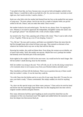"I am glad to hear that, my boys, because once you get my beloved daughter settled in that bath, Chance, I would like to talk to you both for a bit. So, you two scoot, I am tired, so tired right now, but I need to do this. I need to, before…"

Katie saw what little color her mother had drained from her face as she pushed the next spoon of soup away. "No more, please. Just let me rest for a couple of minutes while you get her settled in the tub, Chance, and you make that salad, Chase sweetie."

Her mother looked at her and smiled again, "Do this for me, please, Katie. No arguing this once. Mommy is too tired to appreciate the independent, thoughtful woman she raised. Just be a good girl, please?" she chuckled with a wink as Katie simply nodded.

Joy turned to her 'boys' then, spearing each of them with a look, "Then I want to talk to both of you. Together. Wake me up, even if I am sleeping. I mean it."

"Yes, Ma'am," the men said in unison, and Katie was reminded of those shy teens that she had first brought home after school all those years ago. They seemed as reluctant to face whatever her mother had to say now as they had with her that day.

Knowing her mother, she could not blame them. Even dying, the woman was an idealist, out of touch with reality. Well, this earthly one anyway. Maybe that was it; perhaps her mother had honestly never had been part of this astral plane.

Katie sighed as the weight of it fell on her once more. Joy would not be for much longer. She felt her mother's death drawing closer by the moment.

Still, her mother was strong to the end, "Now off with you all. Let the old, dying woman have a few moments alone to rest in peace away from your blocked chakras and dark auras."

They chuckled as all three left the bedroom. There was no question that any of them would obey her mother's wishes. It was the least they could do.

"Go with Chase into the kitchen and try to eat a bit of your soup, Katy-did. I'll come for you once your bath is ready," Chance commanded. She simply nodded, too tired for anything else.

"So, show me this special recipe your Mom wants, princess," Chase said as he took her hand and led her into the surprisingly large kitchen that was like stepping back into time with its original wooden cabinets and glass features.

How many afternoons had they spent laughing on stools around the island that was the centerpiece of this very functional room? She sighed and nodded before the memories could draw her deeper into that morose black pit.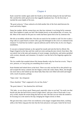### Chapter 4

<span id="page-22-0"></span>Katie cursed her mother again under her breath as she had been doing for the last half hour. She watched the smile spread across that ruggedly handsome face. For the first time, it reached the azure depths of his eyes.

"Be good, princess," Chase ordered as he held another bite of the fruit salad between his sweet and sticky fingers.

Damn her mother, did the woman have any idea how intimate it was being fed by someone else? How helpless it made you feel? She exhaled slowly as she realized that, of course, Joy did. Most of her meals for the past two weeks had been spoon-fed to her by someone else.

She felt so incredibly selfish then. Was this too much for her mother to ask? For her to take a long walk on a quiet beach at sunset with a guy that belonged on the cover of a damned erotic romance? To feed him her mother's special ambrosia and be fed by him, by his own fingers, nonetheless.

It was just so damned intimate as she opened her mouth and took the bite he offered. His fingers lingered on her lips until she could not resist sucking the juice slowly from them. She was utterly lost in the taste and sensation of sweet oranges, strawberries, and melon sprinkled with coconut, almonds, and cinnamon. Or maybe it was the feel of his fingertips against her tongue.

The low rumble that sounded almost like human thunder woke her from her reverie. "Stop it now, princess, or I am giving you something else to suck on."

Katie blushed and looked down at the bowl. There was only one bite left as she picked it up and scooped the messy contents into her fingers as best she could. Damn, Mom, she thought one more time as she looked up into those baby blues that were filled with mirth and tinged with a touch of passion, perhaps.

"Open wide," she whispered.

Chase chuckled, "That's supposed to be our line, Katie."

"Be good, damn it," she chastised her old friend.

"Oh, baby, we are always good. Damn good, especially when we are bad," his smile was that boyish one that she had loved so much in high school, with just a hint of feral male. It was sexy as hell, maybe the sexiest thing she had ever seen. But that was not what she needed to be focusing on as she stared at his lips, bringing her fingers slowly to them.

She got more than a taste of her own medicine as his tongue wrapped about them, suckling softly at her flesh, long past the time that the fruit and juices were gone. Katie bit her lower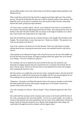lip and added another curse to her earlier litany as she felt her nipples harden painfully in her bathing suit top.

What would those soft but firm lips feel like wrapped around them right now? One of them anyway. She got the feeling that the other one would be intensely jealous of his attention. She hoped the man was the type of considerate lover that would not play favorites, alternating between her peaks, giving each equal attention.

'Of course, there is another option,' that sly voice whispered in her brain as it reminded her how intense it had felt that night being pressed between them. They had passed her from one brother to the other like their football. She was always on the edge of confusion as to whose lips, whose hands were doing what to her virgin body.

Katie felt the liquid heat drool into her swimsuit bottoms at the thought. She chuckled as she thought, 'My second chakra is more than open now. Thank you, Mother.' The question was, what was she going to do about it?

Even if she wanted to, the beach was not that deserted. There were still dozens of people milling about the pier, enjoying the spectacular sunset, she reminded herself as she tried to refocus.

Chase grinned as he released her fingers with a final lick just across the tip of the middle one. He took the bowl from her hands, his fingers brushing seductively against hers as he leaned in to whisper. "We aren't finished yet, princess."

For a moment, she was so dazed by the taste and feel of this man, the memories, and thousands of naughty fantasies that had consumed her for so long that she honestly did not know what he meant. Then he set the bowl down on the blanket next to them and wrapped those strong hands about her waist.

Her first instinct was to fight him as he drew her closer, turning her body so that she faced the pounding waves, cradled in his lap between firm thighs with his cock pressed against her ass. The pounding surf was drowned out by the sound of her heart accelerating.

'Dangerous,' the single word flitted through her brain as his superior strength won this battle. His hands pushed her forward, allowing just enough space for his hands to make slow, sensual circles in her lower back.

"Joy said a massage too, princess. Did you forget?" Chase whispered against the side of her face.

She could smell the sweetness of the cinnamon and coconut on his breath and fill the heat of his words, caressing her skin with each syllable. 'You are in so much trouble,' she wanted to scream at that damned voice that sounded just a bit too cocky in her addled brain. Instead, she merely shook her head and closed her eyes. Maybe if she thought about other things, she could make it through the next few minutes with her dignity intact?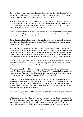But when those strong fingers found the small of her back, just above the dimples of her ass, and buried themselves deep in the tight, tender muscles, Katie almost lost it. A low moan escaped her throat before she could stop it as she arched her back.

That was a big mistake as it forced her hips back to make full contact with the bulge in the front of his jogging pants. 'So much fucking trouble,' that voice screamed in warning, but it was futile as her body began a slow dance of seduction, rubbing against it like a kitten in a pet shop begging you to take it home and make it yours.

Chase's thumbs found the knots just over those dimples on either side and began to move in slow deep circles. She gave up even trying to contain her moans and groans as she felt the tightness begin to loosen just a bit with each stroke.

By the time those fingers began to move higher up her back, she was practically a mindless sack of nerve endings all screaming for release. 'Could you come from nothing more than a massage?' her mind wondered.

Then she felt the roughness of his beard rub against the bare skin of her neck and shoulders, his tongue traced along the pounding pulse in her throat. She whimpered, her hips increasing the tempo of that erotic dance against the throbbing length cushioned so tightly between the cheeks of her ass. Her nipples felt like they were on fire, and the cool, gentle breeze off the ocean that should have soothed them and extinguished the flames only fanned them higher.

"Damn, princess, if you sound like this with our clothes on, imagine how fucking sweet you will when we were naked," his words were a deep sexy caress into her ear as his hips kept perfect time with hers, rubbing his erection harder and faster against her ass.

"Think of how good it would feel to have me buried in that tight little cunt of yours right now. We almost could you know. If I just," the fingers of one hand finished his sentence for him as he leaned closer and wrapped an arm about her waist. His hand slipped just between her open thighs and brushed the clingy material of her swimsuit aside.

Chase was the one who was moaning into her ear then; his face buried deeper against the sensitive skin of her neck. His beard half tickled, but more enticed as it pushed her hair aside. Those fingers, though, captured her full attention as they traced slowly from the top of her swollen clitoris to the folds of her pussy, "Damn, girl, you are so fucking wet now. It would be so easy for me to get my cock inside you."

Katie was the biggest devotee of her mother's message that there was nothing free about love. She had been more than circumspect with her lovers.

Well, singular actual. Her college boyfriend had been such a horrid disappointment after all Joy's proselytizing about the beauty and joy of sex. In fact, the relationship had ended shortly after she gave him her virginity. His parting shot at her, the accusation that 'for a free love hippie chick, you sure are a frigid bitch,' had eaten away at her confidence for a long time.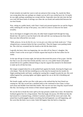It had certainly not made her want to rush out and prove him wrong. No, maybe her Mom was wrong about that one, perhaps sex simply was not all it was cracked up to be. Or maybe he was right; perhaps something was wrong with her. Especially since the only time she had ever truly felt those kinds of stirrings was when she was drunk and sandwiched between her two best friends.

Now, sitting on a public beach, with Chase's hard cock pressed against her ass and his fingers softly outlining the wet lips of her pussy, was a hell of a time to re-discover her latent sexuality.

Just as she began to struggle in his arms, his other hand wrapped itself through her long blonde hair. He used it to turn her head to the side until she was staring up into those deep blue eyes that reflected her own need.

"Shhh, princess, let me do this for you. Let me give you what your body needs now," Chase whispered just a moment before his lips covered hers. Then his fingers were pushing inside her. She cried out, screamed into his mouth as she felt the dams burst.

Logically she knew what was happening; she was after all Joy Danver's daughter. Her mother's book on the seven types of female orgasm had stayed on the best sellers list for weeks.

At the ripe old age of twenty-eight, she had just discovered the power of her g-spot. And the fact that it was one of her best friends and they were on a very public beach with people around did not do a goddess damned thing to stop her orgasm that seemed to be determined to make up for all that lost time.

Her tongue wrapped about his as she pushed back against his hands, drawing his fingers just a bit deeper. Then she felt him trembling too as this time he moaned into her mouth, his fingers pushing harder and faster, sending her soaring like a seagull towards the sun. His cock rubbed against her, pressing tighter and tighter against her ass as she felt it throbbing and pulsating.

Her breath caught, and her eyes flew wide open as she realized that her best friend was coming too. Her lips curved into a satisfied smile as she continued to kiss Chase, to draw each moan and shudder from both their bodies. She was not sure how long they stayed locked like that. Just kissing as the tremors of their mutual orgasms subsided.

He was the first to break the erotic spell as his lips pressed a tender kiss to hers. He leaned his forehead against hers for a long moment. Then that laugh, the joyous, life-filled one that she had missed for so damned long, a lifetime it seemed, echoed off the waves and winds. She joined him in girlish giggles despite everything that had happened, was still happening, and the worst that she knew was to come. Katie felt happier than she had in a long time.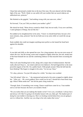Chase bent and pressed a tender kiss to the tip of her nose. His eyes danced with the fading light of the sun, "Well, I think we can safely tell your mother that our sacral chakras are unblocked now, princess."

She blushed as she giggled, "And nothing wrong with your aura now, either."

He frowned, "Can you? Did you inherit your mother's gifts?"

She shook her head, "Mom always wanted to think I had, but not really. Every now and then, I catch glimpses of things, but not like her."

He nodded as he straightened her in his arms, "I know we should head back, but just a few more minutes, okay, princess? Just let me hold you in my arms while we watch the sun go down?"

Katie nodded; she could not imagine anything more perfect as she leaned her head back against his shoulder.

\*\*\*

It was dark and chilly as she opened her eyes. For a long moment, she was not even aware of where she was. Just the strong, warm arms wrapped so tightly about her, the soft, steady beat of the heart beneath her ear and the comforting embrace of that muscled chest cocooning her head.

Then it all came flooding back to her, along with a major dose of embarrassment. Had she really allowed Chase to…her mind could not even fathom it. He had fingered her to the most powerful orgasm of her life. On a public beach. With people around. What the hell had she been thinking? She began to struggle in his arms, "Let me up, Chase."

"It's okay, princess. You just fell asleep for a while," his deep voice soothed.

"Just fell asleep? After we…" she stammered and prised at his arms wrapped so tightly about her. "After you... Oh, sweet goddess! How could you let me? I should have been home long ago. What if Mom needs me?" she felt the panic rising inside her.

"Enough, Katie. If something were wrong, Chance would have come for us. Your mother sent us out here because she knew you needed a break."

"Do you realize that you are making this harder on her? I love you, sweetheart. I always have and always will. But I'm going to be brutally honest with you, baby girl. The hardest part of dying for your mother is leaving you. She is so fucking worried about how you are going to survive without her. And the way you cling to her only makes that worse."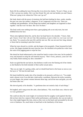Katie felt the scalding hot tears flowing like rivers down her cheeks, "So am I, Chase, so am I. She's not just my mother. She's my best friend. My only real one besides you and Chance. What am I going to do without her? How can I go on?"

Her body shook with the power of emotions she had been bottling for days, weeks, months, the past year since her mother's diagnosis."It isn't supposed to be this way. There are weddings and grandbabies. All the things that mothers and daughters are supposed to share together. And she won't be there. She won't be there."

The final words were nothing more than a great gulping sob as not only tears, but snot dribbled down her face.

Those arms tightened about her, and he drew her head back to his shoulder. "I know, baby girl. I know. It isn't fair. Life isn't fair. But sometimes, it just is what it is. Let it out. Let it all out, Katie," he coaxed as the tears fell, and the snot ran. She was not sure how long, minutes or hours had no meaning in pain that visceral.

When her tears slowed to a trickle, and she began to hiccup gently, Chase loosened his hold on her. His fingers brushed the tears from her eyes. He chuckled as he pulled his t-shirt from the waist of his jogging pants to wipe her face.

She shook her head embarrassed as she raised her hand to swipe at her nose, but he pushed it away and insisted on using the soft material anyway. "Don't worry, princess, yours ain't the only bodily fluids staining my shirt, remember?"

Katie was glad that the sun had set, that darkness would cover the flaming red of her cheeks as she blushed at his bold reminder of their earlier sexual antics.

"But you are right. It is getting colder, and we should head back to the house as soon as you feel up to it." He bent his dark head.

His beard chaffed the tender skin of her shoulder as he pressed a soft kiss to it, "You might need a shower even if you did take a bath earlier, sweetheart. Between the sticky sweetness on your fingers, the sweeter wetness between those legs, and all the tears and gunk, you will feel better after one."

She shoved gently at his shoulder, "A gentleman does not remind a lady of such things."

He laughed, and it rang across the calm, silent darkness, "Oh, sweet Katie ours, whoever said we were gentlemen?"

She could not deny the sweet tingles of excitement that his naughty words ignited. But they did not have time for a repeat of their earlier performance, and honestly, she was not ready to face what might happen this time, alone as they were on the beach and surrounded by the safe cover of darkness. No, much better to head back to the familiarity of the house.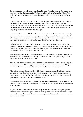She nodded as she stood. Her head spun just a bit as she found her balance. She waited for a moment, watching the tide come in. Until she heard the soft curse behind her, "Fuck," he exclaimed. She turned to see Chase struggling to get to his feet. His foot, she remembered then.

It was still easy with the prosthetic hidden by his pants and sneaker to forget that Chase had lost his leg. She frowned; he always wore long pants. No matter how hot it was. She wondered if he might still be so uncomfortable with the prosthetic and scars that he needed to hide them. Not that she felt she had the right to ask such an intimate question, despite the very kinky intimacies they had shared this night.

She hesitated for a second. She knew this man. He was too proud and stubborn to want help, but that was too damned bad. If he could give her what she needed when she needed it and wipe the snot from her face with his shirt, then he could damned well learn to take hold of her hand when he needed it. She held out her arm, "Here," she said in a firm voice.

He looked up at her. She saw it all written across that handsome face. Rage. Self-loathing. Despair. Self-pity. She frowned, it must be her imagination, but she could almost see his aura darkening. The silver that danced about him, turning first a light brown then almost black. She shook her head, "Take my damned hand, Chase."

He sighed and shook his head. He looked away from her, but he did as she said, using her as an anchor to pull himself back to standing. "Thanks," his voice was quiet and tight as they began to make their way back to the street.

The walk that should have been quick seemed to take forever in the silence that was anything but companionable. When they got to the house, Katie stopped on the front porch. She put her hand on his chest. She wanted to say something, but she was not sure what.

After a long moment, Chase chuckled softly, but it was not a real one. Not like the laughter and tears they had shared on the beach. "Go. Get that shower, princess. You don't want to have to explain to your mother the smell of sex clinging to your skin. Hell, the woman will probably take one look at your aura and know anyway."

She shook her head and giggled as she stood on tiptoes to brush a gentle kiss on his lips. The only words she had seemed so inadequate, "Thank you," as she slipped inside the house to do as he suggested.

A quick shower to wash the sand from her body and the mess from her face, perhaps even take a bit of the red from her eyes. But she knew deep in her heart that there was not enough water in the oceans to wash his touch from her body or mind. Even if she wanted to - and she was not sure she did.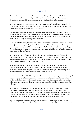## Chapter 5

<span id="page-29-0"></span>The next three days were wonderful. Her mother rallied, and though she still slept more than usual, it was restful slumber, not pain-filled tossing and turning. When she was awake, the four of them talked and laughed, catching up on a lifetime of missed moments.

They had watched movies. Once Joy had even felt well enough for Chance to carry her down to the beach. She had always loved that so much. It had been a second home to them, where they had taken daily walks for Katie's whole life.

Katie snuck a brief look at Chase and blushed when they passed the abandoned lifeguard station near where they… Well, her sacral chakra seemed to be reasserting itself. Her libido demanded satisfaction each time she was alone in the shower. The fantasy was always the same - his thick fingers thrusting deep inside her.

If, as Chase had asserted, her mother could tell what had happened from her aura, she had the good graces not to say anything about it. That was about the only thing she did not say anything about these days. Mother and daughter talked and talked and talked. About the past, Joy reminding her of things she had long since forgotten, refreshing and reforming memories that would last her a lifetime.

They talked about the future, too, though that one was harder for Katie. To listen as her mother spilled forth all of her hopes and fantasies for her only child was difficult, especially knowing that this woman would not be there, even if she did manage somehow to fulfill even half of the big dreams that her mother had for her.

The hardest was when Joy pleaded with her to tap into hidden talents to continue her life's work. Katie wanted to do anything to reassure her mother, give the woman whatever promises it took to bring her peace. But this one she found challenging. Which only led to another uncomfortable topic of conversation…her personal life.

Her mother was adamant that Katie possessed gifts equal to or surpassing her own. It was just that she had repressed and hidden them because she needed an anchor and shield to hold her to this world. Someone to call her back to this world when she was tempted to stay on that other plane and someone to dampen the strong emotions all around her enough to make them tolerable.

The only way to form such a lasting bond her mother insisted was a committed, loving relationship. If that was not bad enough, her blunt mother went on to emphasize the importance of frequent sex to solidify those bonds. Considering where her mind went every time her second chakra had its way, Katie had called it quits then, insisting that they would talk about it later as she bent to kiss her mother's forehead and demand she rest.

Joy had grasped her hand then, far tighter than she would have thought possible in her mother's frail condition. The dark and drawn look on her once beautiful face and the glaze of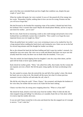pain in her blue eyes reminded Katie just how fragile that condition was, despite the past couple of 'good' days.

When her mother did speak, her voice cracked. It was as if she poured all of her energy into her words, "Remember, Kaitlin, nothing done in love can ever be wrong. Promise me that you will never forget that."

She had frowned as she brushed the remaining wisps of her mother's blonde hair back from her forehead. Was it warmer than usual? Maybe she should phone Melody, ask her to stop by and check her mother…just in case?

But for now, Katie forced as reassuring a smile as she could manage and pressed a kiss to her forehead that was definitely warmer than it should be. "How could I ever forget the most important lesson you ever taught me, Mom."

When she pulled back, her mother's eyes were swimming in tears as Joy studied her face for a long moment before nodding her head slowly and closing her eyes. Katie was sat on the bed for several long minutes until she thought her mother was asleep.

But as she released the hand she had been holding and laid it upon her mother's stomach, Joy opened her eyes once more. Her voice was so weak and distant that Katie was never sure she actually heard the words, but there was no doubt what she mouthed, "I love you."

Then she smiled, her hand slipping from her daughter's onto the crisp white sheets, and her spirit left her body to hover upon another plane.

Katie shook her mother gently. "Mom," she called first softly, then louder, but the woman did not respond, not even a flinch. She felt the panic rising rapidly, her heart accelerating in her chest.

No, she wanted to scream, then she noticed the rise and fall of her mother's chest. She shook her head, torn as to what to do. She should call the nurse, but what if in those precious moments it took to find her cell and make the call, what if…

She did the only thing she could. "Chase, Chance," she screamed, and despite the loudness of her voice then, her mother did not rouse at all. Katie felt her heart sinking.

Chance was there first, his strong arms wrapping about her, "What is it, Katy-did?"

She shook her head, afraid to even look away from her mother. What if while she did, her chest stopped rising and falling? As ridiculous as it sounded, Katie felt as if she alone willed it to move, kept her mother alive now.

It was not until Chance turned her in his arms and shook her that she snapped out of it enough to answer, "I can't wake her."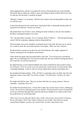Chase appeared then, and she was passed off to him as she buried her face in his shoulder. She heard Chance calling her mother's name, the rustling of sheets told her that he too tried to wake her, but she knew it would do no good.

"Melody's number is in my phone." Did her voice sound as flat and despondent to their ears as it did her own?

It must have because his next words were a harsh growl like a commander giving orders he expected to be followed. "Get her out of here."

She pushed back out of Chase's arms, shaking her head violently as she saw him stumble a bit before catching his balance once more.

"No," she practically screamed. "No, I'm staying. What if? What if…" She felt herself losing control, felt her composure slipping, hysteria rising inside her.

Then his hands were on her shoulders, turning her back to face him. His face was as cold as ice, as hard as steel. His voice deep and slow as he spoke, "Shut. Up. Now. Princess."

He allowed her no protest as he drew her out of the bedroom. She caught a glimpse of Chance, reaching for her cell phone on the dresser.

Chase shook her gently until she turned back to face him. "You will not lose it around her again. Do you understand me? You may not realize this, but you would be fucking shocked at how much she can still hear and knows."

He sighed heavily as if he realized suddenly how much of himself he had revealed in those few sentences. "Even in a coma, you come and go into various levels of consciousness. Hell, I remember thinking, 'so this is what Joy always talked about with her astral plane shit.'"

He chuckled self-deprecatingly, "Silly, uh? But it is surprising what you think when the only thing that works is your mind. You want to scream, 'I'm still in here,' but they can't hear you."

He caught and held her gaze, "But you can hear what they are saying, princess. And you remember - remember most of it."

He swallowed and looked away, "I know this is hard, but you have been so brave, holding up for her. We are both so fucking proud of you, Kaitlin." He paused before slowly turning back to face her with those big baby blues that she had always thought of as a deep crystal ocean she could drown in, too fucking easily.

"But it ain't over yet, baby girl. Hours, days, weeks, I don't know, but you have to keep up the act a bit longer. That's why Chance wanted you out of there. Just until you can get yourself back together, you have our word on that," he took a step closer to her.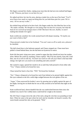His fingers caressed her cheeks, wiping away tears that she had not even realized had begun to fall. "Princess, just know we are here for you."

He sighed and drew her into his arms, placing a tender kiss on the top of her head, "You'll never know how much we regret not being here for you both these past few years. We're sorry. All we can say is after…"

He exhaled long and hard as he drew back. His fingers under her chin lifted her face to his, "We made a mistake. We thought we were doing what was best for everyone, but what the fuck do two screwed up teenagers know of life? But know this now, Kaitlin, we aren't making that mistake ever again."

Katie swallowed, somehow his words seemed laced with deeper meaning. 'Or maybe you just want to believe that?'

Chase pressed a tender kiss to her forehead, "You can't scare us off so easily now, princess," he chuckled.

The half-closed door to the bedroom opened, and Chance stepped out. Chase must have pulled it closed behind them, but she had been too hysterical to notice.

Katie felt that panic rising once more, wanted to argue that they should not leave her mother alone. Before she could say anything, Chance replied, "She'll be here shortly, Katy-did. Until then, one of us will sit with Joy. You have our word we will call you if there is the least little change, but right now you need to eat something and calm yourself."

She wanted to argue, opened her mouth to do so until they both pressed in from either side. "You." Chance smiled as he kissed her nose.

Chase turned her back to face him. "Will." He kissed her forehead.

"Not." Chance whispered as he kissed her neck from behind as he pressed tightly against her. Her eyes widened as she felt a solid ridge wedged between the twin globes of her ass.

"Argue." Chase answered his brother's move by pressing just as tightly against the apex of her thighs, leaving her no doubt that he was as fully aroused as he had been that night on the beach.

Katie swallowed hard, almost thankful that she was sandwiched between them since she doubted very much if her wobbly knees could hold her weight at the moment.

She felt Chase's tongue down the side of her neck, along the vein that was pounding so hard there. When he came to the spot where her neck met her shoulder, he kissed it sweetly. His warm breath caressed her skin as he groaned, "With."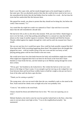Katie's eyes flew open wide, and her mouth dropped open as his mouth began to suckle at that same spot. She was absolutely positive then that she could not have stood on her own as she remembered the hickie that she had hidden from her mother for a week…the last time the twins had her sandwiched like this between them.

She opened her mouth, was about to protest that they should not be doing this, but before she could, Chase moaned, "Us."

Any sound that she might have made was captured as Chase's lips took hers in an erotic dance that she still remembered a decade later.

She had never felt as alive as she did at that moment. Well, just once before. Hands began to move over her body, on her hips pushing and pulling her in a sensual two-step that had her almost on the verge of another orgasm in moments. Others kneaded and lifted her breasts. Thumbs rubbed against her nipples through her t-shirt and bra until she moaned into Chase's mouth.

She was not sure how far it would have gone. How could her body possibly respond like this? Want them both? With everything happening about them? She tamped down the thought that plagued her most…with her mother dying in the next room and she was horny as hell, playing petting games with her best friends in the next room.

She would never know how that battle between her body and sensibilities might have ended. What might have happened then had it not been for the knock at the front door? Katie blushed as Chase broke the kiss, and she looked up to see Melody staring through the screen door at them.

"Oh my god," she breathed as she looked down. She wished she had not as her eyes were drawn to the bulge in Chase's jeans. It was enough to get her moving as she wedged her way from between them and forced those wobbly knees to hold her weight as she put one foot in front of the other until she threw open the door.

"Thank you for coming so quickly."

The young nurse, who was not much older than she was, mumbled a reply as she stared at the floor. Katie noticed her cheeks were as bright red as her own probably were.

"Come in," she smiled as she stood back.

Chance cleared his throat and shifted from foot to foot. "We were not expecting you so soon."

Melody blushed as she tried to raise her eyes but quickly looked back to the floor, when they came to rest just about waist high on him, "I was in the neighborhood actually," she stammered.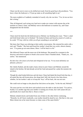Chase was the next to move as he shifted nervously from his good leg to the prosthesis, "You know where the bedroom is. I'll just go make us all something light to eat."

The nurse nodded as if suddenly reminded of exactly why she was here. "Yes, let me see how she is doing."

They all dispersed, each trying very hard not to make eye contact with anyone else at the moment as Chance, Katie, and Melody went to the bedroom to examine Joy, and Chase disappeared into the kitchen.

\*\*\*

Chase stuck his head into the bedroom just as Melody was finishing her exam. "There's salad and fresh bread when you're finished." He looked at Katie and forced as much of a smile as he could, "I'll stay with Joy while you all get something to eat and talk."

She knew that Chase was referring to their earlier conversation. She returned his smile with a nod, and "Thanks." She bent and kissed her mother's head that was cooler, almost clammy now. "I'm gonna go eat some dinner, Mom. I will be back in a bit."

She followed Chance and the nurse out of the bedroom. She paused for a moment in the doorway and stood on tiptoes to brush a kiss across Chase's bearded cheek, "Thank you…for earlier," she stammered.

He drew her a bit closer as he bent and whispered in her ear, "It was most definitely our pleasure, princess."

Her cheeks flushed, and she made a hasty retreat to join Chance and Melody around the island in the kitchen. He had already served her food and passed her a plate the moment she sat down.

Though the salad looked delicious and she knew Chase had baked the bread fresh that day, it all tasted like day-old frozen pizza, the cheap kind. Still, she forced a few bites down, whether, for her mother's sake or to keep the 'boys' off her back, she was not sure.

She could wait no longer as she placed her fork down on her plate, "Is this the end, Melody?"

The nurse put her own fork down and reached across the table to take her hand, "Yes and no, Kaitlin. It is another sign that your mother is running out of time, but I still cannot tell you specifically how much time that is. Hours or days."

Melody exhaled slowly and looked from one of them to the other before continuing, "Honestly, by all I know medically, your mother should be dead by now. But that is why your Mom choose me as her nurse because we share some of the same beliefs."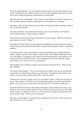Her smile broadened then, "It is not often that I get the chance to be so honest about my own values. Working with your mother has been one of the most humbling experiences of my life. She is such a strong and amazing woman and such a gentle spirit."

She squeezed Katie's hand tightly, "Your mother is most definitely not afraid of passing over. She is actually looking forward to embracing her next adventure, her new destiny."

She sighed, "But she knows that you are not ready to let her go, and she is making a choice to give you that time, Kaitlin."

The nurse paused for a long moment as if trying to come to some decision. She looked to Chance before adding, "At great expense to herself."

Katie shook her head as she felt tears gathering in her eyes yet again. "What do you mean 'at great expense to herself,' Melody?"

She folded her hands in her lap to keep them from trembling, but Chance must have noticed because he got up and came around the table to wrap his arms about her waist in a comforting embrace.

Over these past few weeks and months, this woman had become more a friend and almost another 'adopted' member of her mother's eclectic family. Now Melody looked Katie in the eye as she spoke, "Everything we know about how the brain functions when someone is in a coma says that she still feels the pain. It may be dampened a bit, but she still feels a great deal, Kaitlin. I can't and won't lie to you about that."

Katie nodded as she swallowed, trying to force the lump in her throat down. "What do I do then, Melody?"

The woman smiled quickly, "You use this time that your mother is giving you, her final gift on this plane. You spend time with her as you have been. You talk to her, do whatever you need to, to come to terms with her death. That is what she wants."

"But know the cost she is paying to give it to you and don't abuse it. When you are ready, let her go. She is going to do all she can, not just humanly possible, but with her super-human gifts as well, to give you as much time as you need. Just don't be selfish and take more."

Katie felt the heat of her tears as they began to fall again. All she seemed to do was cry, but she knew that was not what her mother wanted. Joy always lived up to her name. Her mother would want her to celebrate her life, not cry. She resolved to try harder to do just that as she forced out the words, "Thank you for your honesty."

The other woman nodded, "I could do no less, especially for you. I know I don't need to say this, but she loves you very much."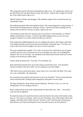The young nurse put her fork down and pushed her plate away, "It is getting late, and my cats get mad if they don't get their dinner on time. But call me - anytime day or night if you need me. Even if that is just to talk or cry."

Melody looked at Chance and shrugged, "My shoulders might not be as broad, but they are surprisingly strong."

She walked around the table and reached for Katie. The women hugged for a long moment, "I will be back first thing tomorrow morning. I mean it. Call me if you need anything, but my intuition tells me that she will have as quiet a night as she can."

"You should use that time to try and get some rest yourself. Let the beefcakes, no offense," Melody smiled shyly at Chance. "Let them take shifts tonight so that you can save your energy for whatever is to come. Promise me that you will try?"

Katie smiled and nodded though she was not confident she meant it. But Chance spoke then as he helped her back onto the stool and escorted Melody towards the door, "You have our word on that. She will rest tonight. If we have to tie her to the bed."

The nurse stumbled and coughed, "Yes, well, I'm not sure how restful those sorts of games would be just now, but I am sure the two of you will figure out some way of handling the situation. One way or the other," she chuckled as she turned back from the doorway to wink at Katie as she stood up to follow them.

Chance shook his head at her, "You stay. I'll see Melody out."

Katie had barely heard the door close when Chance turned back to her. "You heard her. Finish your dinner, then take a bath. You are sleeping in your bed tonight."

"But where will you and Chase sleep. I mean when it isn't your shift with Mom. The couch isn't very comfortable," she stammered.

He crossed the room quickly and towered over her as he chuckled, "Trust me, Katy-did, that couch would feel like a fucking cloud compared to some places we have slept."

His finger brushed her cheek softly until she looked up, "But don't worry, we won't be sleeping there. We are sleeping with you."

Katie swallowed hard at the look of determination in those blue eyes, "But…" she tried to come up with an argument.

He shook his head as he turned her back towards the island in the center of the kitchen where they ate. "Eat, shower, and sleep. And if you can't fall asleep, well, a little birdie told me that orgasms work better than Valium with you. Trust me; I don't mind the idea of burying my head between your legs and licking that sweet cunt until you pass out from pleasure."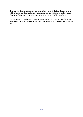This time she almost swallowed her tongue at his bold words. At the fact, Chase must have told his brother what happened on the beach that night. At the erotic image, his bold words drew in her fertile mind. At his presence so close to her that she could almost feel…

She did not want to think about what she felt as she sat back down on the stool. She needed an excuse so she could gather her thoughts and come up with a plan. The food was as good as any.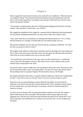# Chapter 6

Katie wrapped the towel about her head as she reached for her toothbrush. "What the hell are you thinking? Doing?" She asked the fresh-faced young woman that greeted her from the mirror. Her usually tanned face was flushed, and only part of that had to do with the warm shower she had just finished.

"Your mother is fucking dying, and you're thinking about hopping into bed with a fucking Adonis." She chuckled, "Correct that…two of them!"

She wagged the toothbrush at her image for a moment before shaking her head and putting it into her mouth, brushing automatically. Up, down, back, forth, slow, steady circles.

'Fuck, since when has even brushing your fucking teeth become about sex?' For a woman that had forsaken sex as highly overrated after just one feeble attempt, she was…

She spat the toothpaste into the sink and turned on the tap, rinsing her toothbrush. "So what the fuck you gonna do about it, Katie?"

She laughed at the outline of white foam around her mouth as she began the same motion; up, down, side to side, tiny circles with fresh water. She spat again into the basin and turned the water back on as she reached for the cup to rinse her mouth.

'You should rinse your mouth out with soap, well, your dirty mind anyway,' scoffed that voice in her head. She began to clean up. She tried to focus on the routine of that, but the situation kept coming back to her mind.

For the first time in close to eight years, she was going to sleep with a man. Not just any man, but her best friend. Hell, if they were taking shifts - two men. Of course, that did not mean that anything sexual was going to happen. Not necessarily anyway, she thought.

Her nipples hardened and became so sensitive that the rough terry cloth towel wrapped about her hurt. "Yeah, that is why you shaved? There? You have not shaved there in years."

Katie knew she was procrastinating, trying to delay the inevitable. It was not like her reflection in the mirror had any more answers than she did. After a decade of virtual silence, her best friends show up, and in the space of less than a week, her whole fucking life is turned on its head.

Not that it was not already. She was facing the hardest transition of her life. Her mother's death would leave her alone and adrift. She had spent weeks trying to figure out what happened next. Did she stay in this house that had been her home for her whole life? It was full of memories, but would those be a comfort or just suck her into a vortex of depression and grief?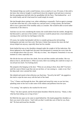The damned thing was worth a small fortune, even as small as it was. Of course, if she sold it, she knew that whoever bought it would knock down the original wood and stucco structure that her grandparents had built after her grandfather left the Navy. That bothered her - as if her whole family and all it had stood for would simply be erased.

She had thought about renting it out, either subletting or seasonally. Find an agent to manage it and take some time off, a year maybe two, and just travel. Living at home, she had been able to save a great deal of her monthly salary as a teacher. She would be able to travel rather extensively if she chose to.

And that was not even considering the money she would inherit from her mother, though they had discussed it, and most of her mother's resources would be placed into a trust dedicated to carrying on the work that Joy had begun in her life.

Of course, her mother had pleaded with her to consider giving up her job teaching kindergarten and take over that work. She knew it better than anyone else since she had always helped out anyway, especially these last few months.

Katie battled the tears as her shoulders slumped under the weight of all the indecision. Her throat tightened as she fought back the panic that threatened to consume her every time she even thought about what was next. "One day at a time," she whispered. Sometimes it was one moment at a time, especially now.

She felt the hot tear trail down her cheek, first one and then another and another. She was about to lose it, and she knew it. What was more, there was nothing she could do to stop it. It was all just too much. Too fucking much.

She jumped at the banging on the door. "What are you doing in there, Katy-did? You have until the count of three to get that cute ass out here, or I am coming in…ready or not. One," the deep male voice caressed her mind.

She inhaled and stared at that reflection one final time. "Saved by the bell?" she giggled as she tried to wipe the tears away with the back of her hand.

"Two," Chance said through the door. She sighed and turned the water on one last time, splashing some on her face to take some of the redness and puffiness from her eyes.

"I'm coming," she replied as she reached for the towel.

"Three," the door opened, and his broad naked shoulders filled the doorway. "Damn, is that what has been taking you so long in here."

He filled the tiny space as he came to stand behind her. His hands gripped her shoulders as their eyes meet in the mirror, "And I told you that I would take care of that for you, Katydid." He bent and kissed her shoulder.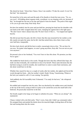She shook her head, "About that, Chance. Since I am smaller, I'll take the couch. It won't be that bad," she stammered.

He turned her in his arms and used the pads of his thumbs to brush the tears away, "No, no, you won't. All kidding about orgasms aside, sweetheart, we are sleeping with you, because of this," he brought her last tear to his lips and licked it from his thumb. "The point of this night is for you to get some sleep. Real sleep. Rest."

He drew her tenderly into his arms and just held her, pressing her head into his shoulder with one hand as the other wrapped about her waist, clamping her against him in the tight space. "We don't know what is ahead, Katy-did. We don't know if this is…" he stopped and sighed heavily.

She did not just hear his pain; she felt it. Knew that this man mourned for her mother as she did, maybe not quite the same, but he did. And that united them, drew them closer as they once had been, inseparable.

He drew back slowly and did his best to smile, reassuringly down at her. "We are here for you now. No matter what happens, we aren't going anywhere, Katy-did. You are not on your own anymore."

He pressed a kiss to her forehead, "You won't have to face this alone. We promise you that. Never again."

She nodded her head slowly at his words. Though she knew that they offered false hope, the truth was that eventually, she would have to face it by herself. Those same decisions that she had been trying to avoid for months, she would have to come to some final conclusion, and she alone would have to do that.

Whether they stayed for days or a couple of weeks after her mother, she sighed and forced the words through her brain…after her mother's death. Death. Dying. Transitioning. Whatever the fuck you wanted to call it. It was coming. Too quickly.

And suddenly she felt incredibly tired. Exhausted. "I'm ready for bed now," she whispered somehow.

He nodded and scooped her into his arms. She was shocked by the sudden move and clutched at the top of the towel, trying to hold it in place as he carried her across the small hall to her bedroom. He practically tossed her in the bed.

Her breath caught in her lungs as he began to unbutton his jeans. "What are you doing?" she stammered.

Chance winked with a devilish smile, "Don't worry, Katy-did. I didn't go commando today." He unzipped them and pushed the denim down his muscled thighs, kicking them off his bare feet and tossing them into the corner.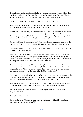The air froze in her lungs as he stood by her bed wearing nothing but a second skin of dark blue boxer briefs. She could not keep her eyes from the thick bulge at the front of them. Worse yet, she had to consciously will her hand not to reach out and caress it.

"Fuck," he growled. "Stop. It. Now. Katy-did," his hands fisted at his side.

She tried to clear the cobwebs from her mind as she shook her head, "Stop what, Chance?" she whispered as she bit her lower lip to keep from licking it.

"Stop looking at me like that," he sat down on the bed next to her. His hands framed her face and forced her eyes from his crotch that was growing thicker with each beat of her heart, "You keep looking at me like that and I promise you, you will find yourself laying naked with my cock buried inside you in less than thirty seconds."

She shivered. From his touch on her face? From the night air that was getting cooler by the moment? Or from his words…or the possibility of them becoming more than mere words?

She dragged her eyes away and forced her breathing to slow. "Let me up, Chance. I need to find something to wear tonight."

He nodded as he moved aside a bit, just enough for her to squeeze past him. She held the towel tightly about her tits as she opened her top dresser drawer and pulled out a pair of panties. She promised herself that she would wear the plain white boy shorts but somehow ended up with the black lace thong that had never been worn.

They had been a bit of a gag gift for her twenty-eighth birthday from friends at work, who considered her a bit conservative and too uptight. She chuckled…what would they think if they saw her now? Alone with him in her bed? If they knew that just a few days ago, she experienced the most powerful orgasm of her life? On a public beach?

She closed the drawer and pulled out the one below it, trying to figure out what to wear. The truth was that she usually slept naked. Of course, these past few weeks, she had typically worn work out pants and a t-shirt to sleep in the chair in her mother's room.

She rummaged until she located one of her extra-large t-shirts. She pulled it on over her head, leaving the towel in place until it covered her to mid-thigh, then she tugged it free.

She looked up and noticed that Chance was watching her every move. "Turn around so I can," she mumbled.

"Leave them," he groaned.

She shook her head. "You expect me to sleep in nothing but a t-shirt with a man I barely know wearing nothing but his briefs?"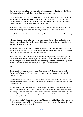He was on her in a heartbeat. His hands gripped her arms, right on the edge of pain. "Get in the bed now, Katie. Or I will show you just how well you know me."

She wanted to shake her head. To refuse him. But the look in those blue eyes warned her that would not be a wise decision. Instead, she obeyed and took a couple of steps to her bed, crawling in and scooting to the far side, as close to the wall as she could get. She turned to face the wall and closed her eyes as she felt the bed shift.

Then those strong arms turned her and drew her back until her head rested on his chest. His heart was pounding as loudly as her own and just as fast. "Go. To. Sleep. Katy-did."

He sighed, and she felt it through her whole body. "Or I will find some way of relaxing you, sweetheart."

'How the fuck am I supposed to sleep with you so close,' she thought as her hand pressed directly over his heart. She was glad for the chilly night breeze coming in through her open window. The man was a furnace.

Would all of him be so hot? Her eyes drifted down to the tent in the front of those briefs. It would be so damned easy for her to slide her hand slowly down those rock hard abs. To wrap her fingers around it and discover the truth for herself.

She closed her eyes and fought back the temptation, willing her body to relax using the selfhypnosis methods her mother had taught her as a young girl on those nights when she was frightened by monsters. She was content to discover they worked as well on Greek gods and heroes as they did on faceless monsters, as she began to drift off to sleep.

\*\*\*

The dream. It was back. Always the same. Since her mother's diagnosis, but the truth was that she had had that same dream a couple of times even before her mother discovered the lump in her breast.

She was all alone on the beach, which was strange. The beach was never that deserted. There was always a stray die-hard surfer or middle-aged beachcomber, no matter the weather or the time of day or night.

But this time she was…all alone. Not a person in sight. The fog was thick. She could barely see five feet in front of her. She could hear the roar of the waves, but rather than comforting her as they always did, they were so loud that her head throbbed in time with them. She was cold, so cold she began to shiver. Cold, frightened, and alone, she began to run along the beach, "Mom," she called out.

It was not her mother's face that appeared out of the fog - it was his. Chance. He wrapped her in those strong arms and held her tightly against his chest. She stopped shivering as his body heat dissipated the worst of the chill.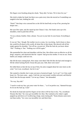His fingers were brushing along her cheek, "Katy-did, I'm here. We're here for you."

She tried to shake her head, but there was a pain every time she moved as if something was tangled in her hair, holding her still.

"Katie?" that deep voice caressed her as she felt his hard body on top of her, pressing her deeper into…

Her eyes flew open, and she stared up into Chance's face. Her hands came up to his shoulders, tried to push him off her.

"It was a dream, Kaitlin. Only a dream. You are in your bed. In your house. Everything is fine"

It was not 'fine,' though. Her mother was in a coma. Joy was dying. And in hours or days, she would be all alone in this world, all alone like in that dream. She shoved with all her might against his shoulder, "Get off me, you pervert. What the fuck do you know about 'fine'? Nothing is 'fine.' Nothing ever will be again."

She pummelled his chest and shoulders with her fists. Her efforts were as effective as all the drugs, surgeries, and chemicals that the 'experts' had given her mother. It was no use. Some battles you simply could not win.

She felt the tears coming back. How many were there? She felt like she had cried enough to fill the whole fucking Pacific Ocean this past year. Still, there were more?

He rolled them so that she lay on top of him, his arms wrapped about her once more as she cried. "Let it out, sweetheart. Just let it out."

She wanted to chuckle, but it came out more a hysterical laugh. 'Let it out'? As if she could keep it in. The tears came…again. Until she was snot-nosed, swollen red-eyed, and blotchy faced, then the hiccups started. "Let me up, Chance," she demanded.

"No way, Kay-did."

"I need to wash my face, get some water for these…" as if on perfect cue, "damned hiccups. So let me the fuck up, I said."

He shook his head and used his fingers on her chin to lift her face to his, "No, sweetheart. Dreams like that," his voice got incredibly low then. She watched as his Adam's apple popped up and down as if swallowing a large, nasty-tasting pill. "Some dreams seem more real than reality," his voice was incredibly low and thick then.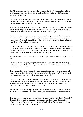She felt it. Stronger than she ever had in her whole fucking life. A dark cloud moved in and over this man. It held him tighter than he held her. She shivered at its cold fingers that wrapped about her friend.

She recognized it then - despair, depression - death himself. She shook her head. No, she was not letting him, it, take Chance too. It might be too late to save her mother from his clutches, but not Chance. Death would not have him also.

Her fingertips traced tears that she noticed trailed down his cheek. She was confident he did not even know they were there. She could see by the blank stare in those blue eyes that he was somewhere else. Somewhere far away. A place she could not go.

But she was not giving him up so easily. She moved closer, pressed a tender kiss over his heart as her hands went from fists that beat his shoulders to soft tendrils that caressed and teased them. "Come back to me, Chance," she whispered like a mantra as she moved against him. "Please, Chance, I can't lose you too."

It took several moments of her soft caresses and gentle calls before she began to feel the dark clouds, which she at last recognized as the same ones from her dream, begin to lift slowly. She knew that she had won this battle when his fingers began to tighten on her shoulders. She looked up at his handsome face that remained lined and tight.

He forced a smile, "Hey, I was supposed to be the knight in shining armor, saving you, Katydid."

She chuckled, "You keep forgetting the way that movie plays out in the end. When he goes back for her and climbs the fire escape, remember what he asked? 'So, what happens now?' Remember what she said?"

That deep chuckle caressed her mind, the smile was still tight, but it was a tad less forced now. "She saves him right back. Is that what this is, Katy-did? People so fucking wounded that they cannot manage to save themselves saving one another?"

She frowned at his words, mostly because of how accurate they were. Was it possible? That people, too weak to save themselves, might find the salvation they sought in saving others? The knot tightened in her throat as she realized that the one person she most wanted to discuss this epiphany with was beyond her reach now.

She felt the soft brush of his lips against her cheeks. She realized that he was kissing away her tears. She sighed and shook her head, giving into tears that seemed omnipresent these days.

This time she was not even sure why she cried. Her mother's impending death? Chase's leg? The dark cloud of death that threatened to snatch this man in her arms? Self-pity for a lifetime of waste? The fucked up world in which they lived that fed good men into the war machine but could not heal the human body?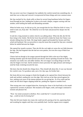She was never sure how it happened, but suddenly the comfort turned into something else. A need that was so deep and visceral it overpowered all those things and even common sense.

Her lips reached for his, drank softly at them for several long heartbeats before his fingers laced through her hair, holding her in place as he took it deeper, tongues warring with one another; need fuelling the battle and demanding surrender.

When he broke away, he did not go far, just enough that his face filled her field of vision, "I need to taste you, Katy-did." He rolled her on to her back and pressed her deeper into the mattress.

It took her a long moment to realize what he was talking about. When she did, she felt the heat rising to her cheeks. She bit her lower lip and tried to shake her head, but Chance was already sliding down her body. His large hands cupped and kneaded her breasts until they ached and hardened. She was powerless to stop the moan that escaped her lips just a moment before he settled between her thighs.

She opened her mouth to protest. Then she felt the cool night air caress the wet folds between her legs. She had forgotten that she had not worn panties, not even the scrap of black lace thong to bed.

Chance had not though as his tongue speared through the folds at the top of her thighs, homing instantly upon the hard nub that sent electric shocks spiraling towards her brain. The sensation was totally new and oddly familiar. His wet tongue was doing things to her that only her fingers ever had. And he seemed to know precisely the right pressure and timing to send her body rocketing towards the stars.

She knew that she should slow things down. They should talk about this. It was way beyond her comfort zone. For goodness sake, just a few days ago, his brother had…

Her brain did not even manage to finish the thought as he captured her clitoris between his teeth and suckled, sending her over the edge. She cried out as her hips moved against his face, seeking even more of the intense pleasure he was giving her. As if he could read her mind, she felt thick fingers slipping inside her, pushing her orgasm to another level.

Then strong arms were wrapped about her, drawing her closer to his hard body as his mouth captured her screams of pleasure. She moaned as the fingers, teeth, and tongue continued to torment and pleasure her.

'Wait,' her mind screamed in rebellion. How could that be? A mouth between her legs…could not also be kissing her?

Then she felt more hands, how many she could not tell, pawing at her tits, squeezing them and tweaking her nipples until they were painfully hard. And her orgasm never stopped,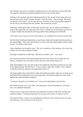never abated, not even for a moment. It rolled on and on. One long one or several that built one upon the other like a pyramid reaching for the sky, she was not certain.

Nothing in her minimal experience had prepared her for this assault on her senses. She was not sure how long it lasted. Seconds. Minutes. It left like hours…and an instant. She could not find the will to stop it, was not sure she even wanted to as the most powerful orgasm of her life ran on, one intense level into another. The second one in days?

When they finally allowed her to float back into her body, she was almost too lethargic to protest. She opened her eyes and stared into Chase's smiling face as his brother gave her clit a couple of light licks that had her shivering and her body quaking in the aftermath.

"Next time, I get to taste your sweet cunt, princess," he whispered as he bent to kiss her lips.

She felt the bed shift and looked down to see Chance finally lift his dark head from between her spread thighs. "Why wait, little brother? I'm sure, Katy-did could manage another couple for you," he dared to wink at her.

Chase chuckled as he kissed her nose, "We can't overload, our fairy princess, all at once, big brother. Give her time to adjust to things."

His fingers outlined her swollen lips. "But trust me, darlin', soon...very soon."

He lowered his head until his beard abraded the side of her cheek, "If you think that was intense, sweetheart, just wait until you have both our cocks buried inside you."

They both laughed as her eyes grew huge at the whispered words that touched way too close to her darkest fantasy. But that was it - it was a fantasy, right? She couldn't. They wouldn't, would they? But they had just come impossibly close to it.

The deep laughter that echoed off the walls of her bedroom told her otherwise as Chase sat up and lifted his hip, pushing the loose sweat pants down. Her breath caught once more at the sight of the metal and plastic prosthesis.

"I can leave the pants on if it bothers you," she saw the dark shadow cross his face.

She shook her head, "No, it isn't that," she stammered. "It does not bother me. Your pain does," she admitted reluctantly.

Chance came to stand next to the bed as he reached for his jeans on the floor. He bent and kissed her lightly, "Good girl, Katy-did. Now get some more sleep. I'll watch over Joy."

He smiled at Chase, "I know you can handle her, find some way to keep her cute ass in this bed until nine, even if you have to tie her down."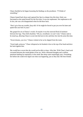Chase chuckled as he began loosening the bindings on the prosthesis. "I'll think of something."

Chance leaned back down and captured her lips in a deeper kiss this time. Katie was fascinated as she tasted herself for the first time. It was not unpleasant. Not unpleasant at all. In fact, she was a bit disappointed when he did draw back.

"Don't give him any trouble, Katy-did. Or he might be forced to put you over his knee and spank that cute butt of yours."

She gasped for air at Chance's words. Or maybe it was the renewed flood of moisture between her legs. They both chuckled, "Oh yes, sweetheart, we can't wait," Chance said as he stood up, allowing Chase to scoot into bed next to her and draw her into his arms this time.

"Sweet dreams, you two," Chance winked at her as he slipped from the room.

"Good night, princess," Chase whispered as he brushed a kiss to the top of her head and drew her back against him.

She would have sworn that she would not be able to sleep. After that. With Chase's hard cock cocooned between the round globes of her ass. With a thousand thoughts and a million questions battling for supremacy in her mind. But sleep came surprisingly easy. Overtaking her before she could even figure out what was happening, just as they had. Her best friends.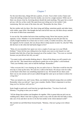# Chapter 7

For the next three days, things fell into a pattern, of sorts. True to their words, Chance and Chase did nothing to keep her from her mother, not even for a single moment. While one of them was always close by, hovering almost should she need anything. They gave her as much privacy with Joy as they could. She spent hours just sitting next to her mother's bed, reminiscing. She lost count of the times she said, "Remember the time, Mom…"

But her mother only lay there. Her chest rising and falling, sometimes gently and other times with visible, raspy effort. She thought she had cried all her tears out, but there always seemed to be more of them from somewhere.

It was not fair. Her mother had never done anything wrong. Never hurt anyone, just the opposite, in fact. Whether it was the homeless man that hung out near the pier that Joy usually bought breakfast for at least once or twice a week, or studio executives, who came to her regularly for her counsel, she was always there to help anyone in need. So, why her? Why did she have to die when she had barely begun to live?

"Mom, do you remember how upset you were a couple of years ago over your fiftieth birthday?" Katie felt the tears sliding down her cheeks once more as she leaned over and brushed what little bits of hair that remained out of her mother's face. "You were so worried because you just did not feel old, you said."

"You spent weeks and months thinking about it. About all the things you still wanted to do with your life." She leaned down and placed a gentle kiss on her mother's cold forehead. "Then your birthday came, and we had the barbeque. Remember?"

"After everyone left, I was cleaning up, but you said to leave it. That there would be time the next day to clean up the mess. We went for a walk on the beach. We always went for walks on the beach when there was something important to say. We kicked off our shoes cause there was no one around, and we just walked through the water up to our knees in silence for a long time."

"Then you turned to me, and I swear, Mom, you looked so damned young when you smiled. Remember what you told me? 'Age is just a number, Kaitlin. What is important is not how long you live, but how well you live."

Katie fought to push each word from her too-tight throat then, "You have lived well, Mommy. I'm going to miss you so much."

"All the things that mothers and daughters do together. Who is gonna help me pick out my wedding dress, Mom? And who is going to come to stay with me after that first baby is born, take care of me and show me how to be the best mother in the whole damned world?"

She reached out and lifted those bruised hands, "Mommy, what am I going to do without you?"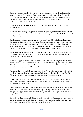Katie knew that she sounded like that five-year-old little girl, who had pleaded almost the same words on the first morning of kindergarten. But her mother had only smiled and shooed her off to play with the other children. Only many, many years later, did her mother admit that she had never left the school that morning. That she had waited the whole time in the principal's reception area. Just in case.

"Do they have waiting areas in heaven, Mom? Will you hang out there all day, too, just in case I need you?"

"That's what she is doing now, princess," said the deep voice just behind her. Chase entered the room, carrying a tray of food. He set it down on the nightstand next to the bed, "You need to eat something."

He picked up a washcloth from the tray and a bottle of water. He walked around and sat on the other side of the bed next to her mother. He tried to dribble a few drops of the water into Joy's mouth, but most of it ran down onto the cloth that he held by her chin. They still did such things, though Melody assured them that in addition to the pain medications, Joy was receiving all the nutrients she needed from the IVs that were constant now.

Katie picked up the sandwich and forced herself to take a bite. She would say it tasted like cardboard, but actually, it tasted like…nothing. That was how she felt, too - like nothing. Numb. Tasteless. Merely existing.

"How am I supposed to do it, Chase? How am I supposed just to let her go? I know it may sound ridiculous. I am a grown woman. I have a career that I love. My own car." She sighed, "But she is so much more than just the woman that gave birth to me. She's my best friend. She's the person I go to when I have a problem."

"Last year, there was this little girl in my class. I wasn't sure what was wrong, but I watched her change from this happy, bright, outgoing little person on that first day of school to this frightened, withdrawn thing that would burst into tears if I even called on her."

"I was at the end of my rope. I had talked with my principal, who told me that her parents were getting divorced, so that was probably what was wrong. I had spoken to the mother, but she seemed not to even care."

"It was almost the end of the year, and I worried about how she would adjust to a full day of school in first grade when she was barely making a half-day now. I talked to Mom…like always. She suggested that I keep her inside during recess for a few days. Just the two of us play and talk alone."

She smiled as she remembered, "She even made cookies for us. Remember how good Mom's chocolate chip cookies tasted? You know, as many times as she has tried to teach me, I just can't seem to get it right. They never taste as good as hers do."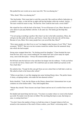She pushed the next words out as more tears fell, "He was abusing her."

"Who, Katie? Who was abusing her?"

"Her big brother. Their mom had to work like yours did. She could not afford a babysitter on a waitress's salary, so she left her at night with her big brother while she worked. And he…" The tears would not seem to stop, "He hurt her. How could he hurt such a sweet child?"

She wiped her face with the back of her hand, "It was all because of you, Mom. Because of your advice to just play Barbies with her. It all came out. The family got the help they needed."

"I'm not saying everything is perfect. But when I see her in the halls sometimes, Mom, she will give me that smile, the old one, and I know. I know that in the end, she will be okay. Because of you, Mom. How many people have you saved like that, Mom?"

"How many people owe their lives to you? Are happier today because of you? Why?" Katie screamed. "WHY?" But not even her screams roused her mother from the unnatural sleep into which she had escaped.

Strong arms wrapped about her, "So fucking much her daughter," Chase brushed the tears from her face, but it was a never-ending job. No matter how fast or how many he wiped away, more took their place. "Always the unanswerable questions."

He fell back onto the bed next to her and drew her deeper into his embrace. "I told you before we owe her our lives, Chance and I. We could have just as easily ended up in prison as the Navy back then."

He smiled at her, "Except for this cute girl from our new school that we both had a crush on. She asked us back to her house after school."

"When we got there, it was like stepping into some fucking Disney show. The perfect home. A funny, accepting mother, who made the best-damned cookies."

Katie chuckled, "Yeah, but the Moms on the Disney channel don't demonstrate how to put condoms on at the kitchen table." They both laughed then.

"Maybe they should. Those lessons sure kept Chance and me out of a world of hurt over the years."

He inhaled and stared deep into her eyes, "You know no matter where we went in this fucked up world. No matter even the men we killed. The one thing that kept us sane, that keeps us sane, is coming back here."

"You don't know the number of times we both have done it. Escaped whatever hell was around us into memories of the smell of those cookies, your Mom's welcoming smile…" His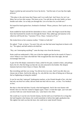fingers reached up and caressed her lower lip slowly, "And the taste of your lips that night, princess."

"This place is the only home that Chance and I ever really had. And I know Joy isn't our Mom, but we love that woman. This hurts us too. You and she are the only family we have besides each other. Let us help you through this. Let us be there for you both now."

He leaned his head against hers, forehead to forehead. "Please, princess. Don't push us away again."

Katie nodded her head and did her damnedest to force a smile. Her fingers traced the deep lines that bracketed his mouth even through the beard. They added age and maturity to his otherwise still boyish face. "I promise I'll try, Chase. I missed ya'll too."

She looked down at her comatose mother, "I think we both did."

He sighed, "Yeah, we know. You aren't the only one that had some long heart-to-hearts with Joy." He sighed, and half smiled as he held her.

"Hey, am I interrupting anything?" came the deep voice from the doorway.

Katie could not understand it. Why was it that her nipples got hard at the sound of Chance's voice? When it was Chase who held her? She recognized that since that night, she had increasingly been torn.

A part of her felt deeply connected to Chase, ached for his pain, wanted to share, and perhaps heal a bit of it. But the thing was that she was also attracted to his brother. Her deepest fantasies had never been Chase or Chance. But both.

But everything said that was wrong. You did not love two men. And if you did, then you choose one of them. And let the other go. So, why did the very idea of letting one of them go feel as frightening as losing her mother?

It was for sure that 'repressed' kindergarten teachers, as her friends thought of her, who had had only one brief love affair, did not climb into bed with two men…at once. Two brothers no less.

But that is what she had done. Exactly what had happened. And if she were honest with herself, that was what she wanted to happen again. Chase's words that night, 'just wait until you have both our cocks buried inside you,' came back to her often.

She would say it was her new favorite fantasy, but the truth was it had been for so long that she had forgotten what fantasy she would masturbate to before that night: graduation day. She sighed; the truth was that she knew she could never make herself choose.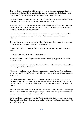That was simply not an option, which left only two others. Either she would push them away again like she did that night, too afraid of what 'people' would say and think. Or she would find the strength to love them both and face whatever came with that choice.

She looked down at the shell of the woman who had raised her. The woman, who had always found the strength to walk her own path - in love. Always in love.

Her words came back to her. How many times had she heard them before? But never clearer than at that moment. Though her mother's lips were silent, her spirit screamed in her head. "Nothing done in love can ever be wrong."

Was she as strong as this amazing woman who had chosen to give birth to her, to raise her alone, to sacrifice so damned much for her? Could she ever be that strong? Especially now, all alone.

Then one hand squeezed gently on her shoulder while the arms about her tightened just a bit. "You are not alone, Katy-did," Chance smiled down at her.

Chase smiled, and those lines around his mouth were not quite as pronounced, "You never will be."

"You have our word on that," they promised together.

Katie tried to smile, but the deep rattle of her mother's breathing stopped that. She stiffened in Chase's arms.

Chance's hands tightened on her shoulders as he bent down, "Give her peace, Katy-did. You are the only one that can. Release her."

"Remember what I said, princess. She has gone through so much for you. Now you find that courage for her. We're here for you," Chase dried more tears that she was not even aware she was crying.

She nodded as she lifted her mother's hand. It was limp. And so cold, icy cold. She realized then exactly how right they were. Her mother was not in that body anymore. It was nothing more than a shell of the bright and brilliant spirit that had once inhabited it, given it life, and purpose.

She lifted the hand to her heart and held it there, "Go ahead, Mommy. It is time. I will always miss you, but it isn't fair of me to keep you here, to hold onto something that is not even you anymore. I release you to whatever is on the other side."

She bent and kissed her mother's lips. She felt Joy's final exhalation. She knew what it was. Recognized it immediately. Once more, her mother was giving her life, strength, and the gifts she needed to go on.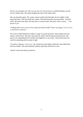Katie's eyes clouded over. She was not sure if it was the tears or wishful thinking, but she saw her mother then. Hovering, hanging just above that empty shell.

She was beautiful again. The young, vibrant mother that had taken her for nightly walks along the beach. That had made her cookies. That had kissed her boo-boos better. And that smile. She knew that smile. She had seen it so many times. She knew what it meant… 'I am proud of you.'

"Nothing done in love can ever be wrong, my beloved child. That is my legacy. Live it. Love it. Find Joy in it always."

The circle of light behind her mother's image was growing larger. Katie fought down the need to call her back. She knew then that she could. That she possessed that power. But power was something that her mother had taught her to use wisely. And just because you could do something did not make it right.

"Good-bye, Mommy. I love you," she whispered as that light swallowed what indeed had been her mother. The most beautiful rainbow spirit that she had ever seen.

And the world went black around her…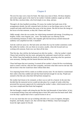### Chapter 8

The next few days were a haze for Katie. She slept away most of them. All those sleepless and restless nights spent in the chair by her mother's bedside suddenly caught up with her. She felt like a newborn baby, who lived simply to eat, sleep, and poo.

Through it all, they handled everything. Of course, her mother had made most of the arrangements already, but still, someone had to be there to see that things went as Joy had wanted and make small decisions that arose at the last minute. She did not have the energy or the focus to be that someone, so they did. Chance and Chase.

Oddly enough, when she was awake, her whole being strummed with energy. Everything was brighter, louder, more fragrant, just…more. The hardest part was filtering out the overwhelming emotions of others. Her empathic gifts that had always seemed minuscule suddenly were amplified ten-fold. A hundred?

And she could see auras too. She had rarely seen them the way her mother sometimes could. But unlike her mother, who saw them on occasion, usually, when she focused and was working with someone, Katie now saw them all the time.

That first day, they told her she had passed out after her mother… After her mother's death. Chance had carried her into her room, and gotten her undressed, stayed with her, cared for her. While Chase had handled the details of calling Melody, answering what few questions were necessary. Dealing with the funeral directors and all the rest.

Chaos had begun that next morning. It seemed all her mother's clients felt the overwhelming need to connect with her, offer her their sympathy, and drain what little reserves she had. She did not know what she would have done without them then.

Two imposing former SEALs made an excellent security team. No one dared to countermand their orders when they nodded and said that Katie had had enough for one day. People just seemed to flee like ants when their hill had been stomped on.

Her mother had chosen to be cremated, so there was no rush for a funeral. In the end, they decided that the memorial service would not take place for a couple of weeks while they processed the necessary paperwork for scattering her mother's ashes, which turned out to be way more complicated than Katie had imagined.

She had thought a simple walk along the pier like they had thousands of times before. In fact, it necessitated hiring a boat and scattering them at least 500 yards from the beach itself. Hell, even the ship's captain had to have a special license to do so.

It was way more than she was up to dealing with after over a year of surgeries, therapies, hospitals, and finally, hospice care. But with the help of Melody, Chase had managed to locate the right captain for the job.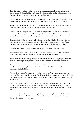Even that came with issues of its own as the boat could accommodate no more than two dozen people. So, Katie had been left to decide who among her mother's flock would have the coveted places and who would stand vigil on the shoreline.

She had been about to break down under the weight of even that decision when Chance stood up and slammed his hand onto the table, "The solution is simple. No one goes with us."

She and Chase had looked at him like he had grown another head, but he simply explained, "We will video it and play it at the memorial service. After the fact."

Chase's deep, rich laughter that was all too rare, rang about the kitchen as he cleared the dishes from their simple dinner. "Damn, big brother, sometimes I think you are a fucking genius. Of course, it is perfect. The only question is who we get to video it."

Chance smiled, "Deke, of course. He is brilliant with all that shit. He, Seth, and Sebastian have started their own videography company. They can do it and compile a video for the memorial service that includes that as well as testimonials and clips from Joy's life."

He looked over Katie, "It also means that you do not need to say anything either."

She shook her head, "No, Chance, I want to. Maybe, I need to. Yeah, I know I have been such a pussy these past few days with everything that has been happening."

She stopped and inhaled deeply. She had not told them about what was going on. About the auras and the overpowering emotions of others that seemed to bombard her constantly.

Actually, the only respite she seemed to have from the sensation overload was when she crawled into bed each night between them. From that first night, they had both insisted on sleeping in the bed with her.

She had thought that after her mother's death, one or both of them would take Joy's room. Katie could not bring herself to sleep in the place that had been her mother's even with all the comforting memories of crawling into Joy's bed on lazy Sunday mornings, during storms, or simply to talk.

Instead, as she had stepped from the shower that first night, wrapped only in a towel, they had stood waiting outside the door. Chance had smiled, and Chase scowled a bit as she had clutched the towel tighter between her tits. "Sorry, I took so long. The bathroom is all yours now."

She had stared at her bare feet as she sought the proper good-night in such situations. Did she kiss them on the cheeks? Did she just brush past them and casually toss a nite-nite as she ran for the relative safety of her room?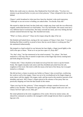Before she could come to a decision, they blanketed her from both sides, "You have two minutes to get dressed before we join you in bed, princess," Chase whispered in her ear from behind.

Chance's smile broadened at what must have been her shocked, wide-eyed expression, "Although we are not averse to holding you naked either. You decide, Katy-did."

She started to shake her head, but they both took a single step closer until she was effectively trapped, sandwiched between two hard bodies. Two very hard bodies. Her senses went into a very different kind of overload then. Her body overrode her mind, and every feeling she had seemed centered between her legs. She chuckled nervously.

"What's so funny, princess?" Chase ran his tongue along the edge of her ear.

She blushed and looked down, staring at the vast expanse of Chance's bare chest. "I was just thinking that Mom would be so proud to know that my sacral chakra is working just fine," she stammered embarrassedly.

She jumped as a hand worked its way between her bare thighs, a finger traced lightly at the cleft at the apex of them. "Want us to see just how open it is, Katy-did?"

"No, that's okay," her lips stammered as her mind screamed, 'Yes, please.' Her heart stuttered to a full stop, then re-started in triple time as that finger kept slowly running back and forth along her lower lips.

"Chicken shit," Chase chuckled as his hands moved up from her waist to cup her breasts firmly. Her nipples instantly took notice until they throbbed and ached from the soft, roughness of the towel. She tried to stifle the moan at the back of her throat, but it escaped instead as a whimper.

She did not have a chance to protest any further as Chance's lips covered hers, swallowing her words as well as her tongue. Chase was not to be overshadowed as his fingers began an erotic dance with her nipples. His tongue, teeth, and lips toyed at the sensitive juncture of her shoulders and neck. Still, Chance's fingers played at the entrance of her pussy that was practically dripping wet from the dual assault on her senses.

"Open your legs for him, princess," Chase managed to whisper somehow between soft nibbles at her shoulder. "Remember how good it felt with my fingers inside your cunt. Let Chance feel how tight you are, baby girl."

Her mind splintered at the erotic naughtiness of his words. Driven by instinct alone, she obeyed his command as somehow she managed to shift enough between them to spread her legs just a bit.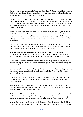Her body was already consumed in flames, so when Chance's fingers slipped inside her wet folds at the same time as Chase's found their way beneath the towel to twist and pull at her aching nipples, it was way more than she could take.

She arched against Chase's bare chest. The world tilted as he took a step backward to brace the additional weight on his good leg. For a moment, she thought they would collapse on the floor in a tangle of limbs and aching need, but Chance's other hand about her waist tightened and shifted her weight enough that they managed somehow to weather the full force of the impact of her orgasm.

And it was another powerful one as she felt her juices flowing down his fingers, stickiness coating the insides of her thighs. Not that she cared just then as the spasms and tremors spread concentrically outwards like waves after you threw a stone in a pond. Her pussy and nipples were already on fire, but those flames licked all the way to her toes below and the top of her head.

She realized then she could see the bright blue and silver bands of light emitting from her body, enveloping them all in its soft, gentle glow. She saw Chase's transforming from the murky grey/brown to that bright silver once more as it had that night.

The most surprising was the blackness, which dwelled so deeply inside Chance that it frightened her with its threat to overcome him, to steal his light from her. This time she saw, actually watched, as it was overwhelmed with the deepest purest blue, the rarest of auras.

Silver and blue hues danced and moved around them until they seemed to merge into an oneness that together melded and formed a circle of light that shook her understanding of the universe with its intensity.

She was trembling and crying and laughing all at the same time as the energy began to recede into a softer, gentler glow. She felt as much as she heard Chase's body rumble with his answering laughter.

Chance placed a final soft kiss on her lips as he drew back, "We need to teach you some better manners, young lady. Laughter is not the proper way to thank your lovers for an orgasm like that."

She felt something shift inside her, as if some of the foreboding that had hung over her for so very long, lifted a bit. She stood on tiptoes and brushed a kiss on his lips before turning her head and brushing another on a startled Chase.

"I don't know. I think it is a perfect response. You two don't laugh enough, you know?" She said as she managed to wriggle free of them, grasping the towel tightly about her body as she sashayed towards her room with a saucy look over her shoulder, "Two minutes, boys."

That had been nearly a week ago, and while the three of them slept naked in her double bed every night, things never went farther than the two of them…seeing to her needs. 'You would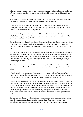think any normal woman would be more than happy having two hot stud puppies getting her off every morning and night, so what's your problem, girl?' asked that stupid voice in her head.

What was her problem? Why was it not enough? Why did she want more? And what more did she want? How far was she willing to take this thing between them?

It was another of the multitude of questions about her uncertain future that plagued her waking moments and haunted her dreams. Her job? Joy's charity and legacy? This house? Her life? What was to become of any of them?

Staring across the packed room at the two of them as they chatted with their three friends, who had been indispensable with the filming and video, she sensed that more than just her own future rested upon those decisions.

Especially as she saw the dark scowl cross Chance's handsome face, but it was the inky black of his aura that consumed his whole body that frightened her the most. Chase was only marginally better as he shifted uncomfortably next to him within the confines of a brownish murk.

But she had no time to consider them or even herself, with nearly one hundred 'close' friends and associates crammed into the tiny two-bedroom bungalow and flowing outside onto the lawns and sidewalks. All of their combined energies, the dark cloud of mourning, beat at her until her head was pounding, and her legs grew weak. Still, she had more to get through. The worst was yet to come.

"Thank you," Katie began slowly. She spoke so softly that at first, only those nearest her even heard her speak, but after a moment, the word seemed to spread, and the room fell silent.

"Thank you all for coming today. As you know, my mother would not have wanted us mourning her passing, but rather celebrating her life. So in that vein, I would like to open the floor for any of you to speak for a moment on what my mother meant to you."

She had thought that perhaps one or two people would have the courage to step forward, but it seemed that everyone wanted to have their say. She smiled and cried as she listened to their stories. The Hollywood executive credited her mother with saving his 'fourth' marriage. The older lady down the street that her mother always took cookies to. Even the homeless man, whom Joy bought breakfast for, had miraculously managed to take a shower and find passably decent clothes for the day. So much so that Katie had not even recognized him at first.

So, what she had thought would take five or ten minutes stretched to more than half an hour that left her exhausted and exhilarated at the same time. Then it had been the video compilation of photographs, speeches, and the sprinkling of her mother's ashes at sea.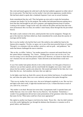She cried and leaned against the solid steel walls that had suddenly appeared on either side of her at some point. The final shot was her mother's last television appearance months before. She had been asked to speak after a landmark Supreme Court case on sexual freedoms.

Katie remembered that day well. They had gotten up extra early to make the horrendous commute into Studio City for the program. Her mother had alternated between puking into a bowl that they had brought for just such a purpose, and napping between bouts of nausea. Looking at her mother's image on the wall, she could see the pallor and fine lines that were more pronounced. But even then, her mother's inner beauty shone through like the proverbial beacon.

She made a stark contrast to the stern, suited preacher that was her antagonist. Though, his part of the interview had been edited out, Katie remembered his words about the sanctity of marriage and the family.

But it was her mother who had the final word. She smiled as she nodded her head at the famous tele-evangelist, "On this, we agree, sex is one of the most powerful forms of worship. Through it, we commune with one another, ourselves, and our gods…and goddesses," her smile had almost challenged the man to interfere.

"But on this, we differ. I believe," her mother paused for a moment and stared directly into the camera before continuing. "No, I know…Nothing done in love can ever be a sin. Can ever be wrong. Love is the divine power within us all. However, we choose to share that is no one's business but ours and our partners." Katie shivered as she heard those words once more.

It was if her mother had spoken directly to her at that moment. As if the gates of heaven or whatever was out there opened, and Joy stood beside her daughter once more. Katie could almost feel her mother's gentle arms about her. She turned and looked for her then, but it was them that she saw. And somehow she knew that was right too.

As the lights came back up, Katie felt a power she never before had known. It swelled inside her, and when she spoke, there was a new authority and power that spoke through her.

"That was my mother, but in some ways, she never belonged completely to me. She was love and light in this dark world. A light that touched each of you. A flame that burns in each of you, each of us, even now."

"My mother is not dead. Because love never dies. It perpetuates itself. It spreads faster and farther than any virus ever could. That was Joy Danvers," she chuckled. "Sometimes, I wonder if my grandparents did not have some premonition of her greatness when they choose that name for her. What name could have been more appropriate?"

She sighed as another tear began to trail down her cheek, "Know this - that Joy shall continue on in this world, lighting the way through the darkness that threatens to consume us all in greed, hubris, and fanaticism."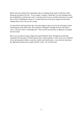Before she even realized the commitment she was making, Katie spoke words that would determine the path of her life. "At my mother's request, I shall take over the foundation that she established to continue her work. I welcome each of you to consider what role you would like to take in fulfilling her dream of a world where love truly does conquer all and where nothing done in love can ever be wrong."

As those final words passed her lips, the room began to spin. If not for the steel grip of arms bracketing her from either side, she would have collapsed. Through the haze, she heard a voice, "Get her to bed. I will handle this." That was the last she knew as darkness enveloped her once more.

But it was not dark for long as light and visions filled her head. Though she would only remember bits and pieces of those dreams, they would continue to come to her over a lifetime in the odd sensation of déjà vu and she would as she had that day…know that she had taken the right path and that all was right with the world…her world at least.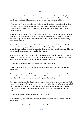#### Chapter 9

Kaitlin was not sure if she wanted to laugh, cry, or scream. Instead, she merely fought her way up out of the haze of dreams. She tried to turn over, but it felt like she was stuck between a rock and a hard place. She opened her eyes a bit more and smiled up at Chase.

"Good morning," she whispered as she tried to ignore his hard cock pressed tightly against her tummy. The same way she tried to ignore his brother's, sandwiched just as snuggly between the cheeks of her ass. The way that she had ignored it every morning for the last couple of weeks.

Everyone knew that guys had only one track minds. Sex. Her addled brain seemed to have the same one track that she accused them of. The truth was that she was confused and more than a bit hurt. Why would two hot twin brothers not want to fuck her when they had a willing partner between them?

Yet over the weeks, not once had either of them made any move to take things further. Well, further than the heavy petting like those teenagers. Fingers, first two, then three and eventually four until she felt stuffed to overflowing, yet somehow completely empty. Fingers, her toys, their tongues even were not what she wanted.

That was Chance and Chase, though. They had always been so much more than they seemed. Always the perfect gentlemen. It was what had made them Kaitlin's best friends since high school. And why her mother had adored the boys as she called them.

But that perfect gentlemen shit was wearing thin. When she wanted…

Chase shook his head as he brushed the hair back from her face, "Not morning, princess. Afternoon."

"Evening almost," whispered Chance behind her as his hands ran comfortingly up and down her arms for a moment. Then she felt the bed shift, "You need something to eat and drink, Katy-did. I'll let Chase tell you the rest while I get us all something."

She turned to nod at him, but the air rushed from her lungs as he stood up from the bed. Fully naked. He was completely naked. Her eyes went wider still as she realized that she was naked too. So was Chase as he chuckled and rolled onto his back, taking her with him so that her head rested just over his pounding heart, and his lips pressed soft kisses to the top of her head.

"Don't worry, princess. Nothing happened," he assured her.

"Not yet anyway," winked Chance from the doorway. "We want you fully awake for that one, Katy-did."

Katie tried to swallow at his boldness, but she realized then just how dry her throat was.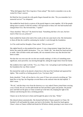"What did happen then? How long have I been asleep?" She tried to remember even as she waited for Chase's answer.

He lifted her face towards his with gentle fingers beneath her chin. "Do you remember Joy's memorial service?" he whispered.

She nodded her head slowly as pieces of the puzzle began to come together. All of the people taking turns to speak of what her mother's life had meant to them, how she had touched and changed their lives. She frowned then, "I spoke?"

Chase chuckled, "Did you?" He shook his head, "Something did that is for sure, but how much of that was you, princess?"

Katie nodded her head at the truth of his words as the rest came back to her. Her declaration to them all that she would be continuing her mother's work through the foundation.

As if he could read her thoughts, Chase asked, "Did you mean it?"

She sighed heavily as she pondered her answer. It was a long moment, longer than the one before she made the public declaration. "Yes, yes, I think I do," she shook her head and tried to smile. After all these weeks and months, she was stunned at how easy that decision had been to make.

Not that she was even sure she was the one actually making it. It felt as if something more significant, more powerful, was moving through her, taking the tough choice from her hands.

She nodded at how right it all felt, "Yes, yes, Chase, I do. I am going to quit teaching and run the foundation the way Mom wanted."

He returned her smile as he placed a chaste kiss to the top of her forehead and squeezed her tighter, "She would be so fucking proud of you. You know that?"

Katie chuckled, "Yeah, tell me that in a few years if I have not screwed everything up." Her hand flew to her lips, her fingertips covered them as she realized what she had implied. "I didn't mean..."

"We do," said the deep voice from the doorway as a very naked Chance joined them carrying a tray of food. He sat it on the table beside her bed and lifted a glass and pitcher. He poured juice and held out the glass as Chase scooted up in the bed a bit, keeping her tight in his embrace and drawing her into a reclining position.

Chance sat on the bed next to them and brought the glass to her lips, "Drink."

She obeyed almost automatically. She drained half before Chance passed it to Chase. He finished it off and handed the empty one back to his brother. She shook her head against Chase's chest as Chance refilled and drank his fill before silently pressing it once more to her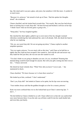lips. Her mind said it was just a glass, only juice, but somehow it felt like more. A symbol of so much more.

"Because it is, princess," she turned to look up at Chase. 'Had she spoken her thoughts aloud?' she wondered.

Chance chuckled, and she looked back towards him, "Not exactly. But your face had always been so fucking easy to read, Katy-did." He bent forward and brushed a soft kiss on her lips. "I think I know what our favorite game is going to be…"

"Strip poker," her boys laughed together.

She clutched the sheet tighter, pulled it up to cover more of her tits, though it seemed ridiculous considering they had undressed her, seen it all already. Still, she shook her head at what he was implying.

"Oh, yes, our sweet Katy-did. We are not going anywhere," Chance replied to another unspoken question.

"Not ever again, princess. You are stuck with us this time," said Chase as he held her so tightly that she could not have escaped if she wanted to. And with the safe and secure way they made her feel just then, she was not sure she wanted to at all.

"You don't think we are going to abandon you now, do you, sweetheart? Running that damned thing would be hard enough for anyone. But with your gifts coming into their own at last…" Chance answered.

She shook her head violently then, "What? How did you know? I never said…" she stammered in shock.

Chase chuckled, "We know because we've been there ourselves."

She looked up at him, confused. "I don't understand."

'Don't you, Katy-did?' she looked at Chance as he spoke, but his lips were not moving.

'Your mother always said that the goddess brought us to her for a reason, princess.'

Katie was more confused than ever as she looked back up at Chase's unmoving lips. "I don't…"

The bed shifted as Chance climbed in as well. Chase rolled over so that she was sandwiched once more between them. It was the only way all three could fit into her small double bed, and even then, just barely.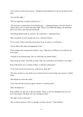"Let us tell you a fairy tale, princess," whispered Chase behind her as he ran his hands up her arms.

"You see that night…"

"The first night that we held you between us…"

"The first time we tasted those sweet fucking lips…" whispered Chance as he bent slowly to capture them as if to re-enact that other night. Then as if to fulfill that fantasy, he turned her, and it was Chase's lips that stole her breath.

"Something shifted inside us, princess. We could feel it," explained Chase.

"But it scared the ever-loving shit out of us," chuckled Chance.

"It was weird. Chance and I had always been close. At times we would know…"

"Just be able to feel what was happening to him."

Chase nodded as he continued his brother's story, "But this was different. It was like he was in my head."

"Actually in my fucking head. Like we could hear one another think."

Chase shook his head, "Not think so much. Talk. We could talk to one another in our minds."

Katie looked from one to another of them. "I still don't understand."

"Your mom was the only person we could turn to, Katy-did."

"The only one that we were pretty sure would not lock us up for being crazy anyway," smiled Chase.

"She helped us as best she could."

"Even when she did not always agree with how we used our gifts."

"Still, she helped us."

Katie nodded, yes, that was so like her mother. "Okay, so you two abandoned me, but you never lost contact with Mom, the way I thought you had."

"We didn't want to, Katy-did."

"But we had to, princess. Well, we thought we had to anyway," Chase blushed.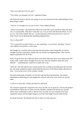"Now you really have lost me, guys."

"You, Katie, you brought it all out," explained Chance.

She shook her head at what he was saying. It was way beyond even her understanding of how these things worked.

"And yes, we brought it out in you as well," Chase added solemnly.

"That is not possible," she denied the truth even as she felt it grow and burst within her spirit. "No, it's not possible. Gifts don't work that way. You are born with them like Mom. Or you are not." She almost added 'like me,' but the memories of the memorial service were too fresh. There was no denying that something happened then.

"Isn't it, Katy-did?"

"Try it yourself if you don't believe us. Say something…in your head. Anything," Chase's voice added to his brother's in her mind.

She thought for a moment about what they had said earlier, about being able to read her thoughts from her expressions. Maybe that was all that was happening here. That was the logical explanation for all of this.

Well, except for how she could hear them in her head when their faces were utterly stoic. But if they really could read her thoughts from her face, then she needed to make this more difficult — something they would never expect her to say.

'Fuck me,' she said with her eyes closed and her face as blank as possible given the fact that she was lying completely naked, sandwiched between two of the hottest bodies she had ever seen... even on the covers of her raunchy e-books.

The quick dual intake of breaths was the first sign that they had heard her. The almost instantaneous thickening of cocks against her stomach and in the crack of her ass was the other.

"Look at us, Katy-did," Chance growled low and harsh.

She wanted to ignore the command in his voice, but she was no good at it. Slowly she peeked up beneath her lashes first at Chase over her shoulder. Somehow he had always seemed softer, more comfortable to talk to. But his face was dark, his eyes clouded as his hand cupped her breast, and his fingers began to twirl her hard nipple between them slowly.

He shook his head, "Be damned sure this is what you want, princess."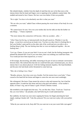She inhaled deeply, whether from the depth of need that she saw in his blue eyes or the intense desire that his hand and fingers were re-igniting in her suddenly wanton body. She nodded and turned to face Chance. His face was even darker if that was possible.

"He is right. You have to be absolutely sure this is what you want."

"We are who you want," added Chase without pausing the sweet torture of her body for even a moment.

"We cannot know for sure. Not even your mother did, but the odds are that the further we take things…" Chance explained.

"The more intense this connection will become. After my accident…after…"

"After Chase lost his leg, we had practically lost the gift ourselves. Whether it was the drugs…or just how screwed up our heads were. You have no idea what it is fucking like to feel your brother's pain and be on the other side of the world and not even able to do a fucking thing to help. The one fucking time that we were not deployed together…the one fucking time…"

"Let it go, Chance. It was not your fault. It was no one's fault, but the fucking insurgents who planted the damned IED. Even if you were there, there was nothing you could have done. You would just have been injured too, or worse."

It felt strange, disconcerting, and oddly reassuring to be part of such an intimate conversation between them. She realized then that she too could feel their pain. Emotional pain, yes, but so intense that it was almost physical. It left her feeling intensely hopeless. Her head throbbed, and the juice she had drunk earlier threatened to come back up.

"Shit, she is feeling it too, Chase."

"Breathe, princess. Just close your eyes, breathe. Feel the tension leave your body," Chase coaxed as his hand left her breast and began to caress her arm once more soothingly.

She whimpered. She knew Chase meant the action to calm and reassure her, but it had the opposite effect. It made her feel alone and lost in the grief and sadness - of her mother's death, of Chase's leg, and of Chance's guilt. Of half a lifetime wasted.

She trembled as she fought back the tears, "No, not like that, Chase. Touch me. Touch me like you were before," she pleaded, only half believing he would understand her.

But suddenly, his hand was once more cupping her breast, his fingers plucking her hard nipple, making it harder still. "Like this, princess? Do you want me to play with your perfect tits?"

'What do you want me to do, Katy-did? Do you want me to eat your sweet little cunt again?'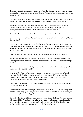Their dirty words in her mind only fanned an inferno that she knew on some gut level would consume her. Consume them all, perhaps. "No, no, I'm tired of it always being the two of you servicing me."

She bit her lip as she sought the courage to give him the answer that she knew in her heart she wanted. In the end, she took the coward's route, "No, Chance, I want to taste you this time."

He inhaled sharply as he shuddered, "Look at me, Kaitlin." He waited as she found the courage to obey him this time. His face showed through the bright blue light that encompassed him in its warmth, which radiated out to embrace them all.

"I meant it. There is no going back if we do this. Do you understand that?"

She looked from him to Chase then back again, "Is there now? Could you walk away like you did that night?"

"No, princess, not this time. It practically killed us to do it then, and we were just fucked up little boys playing at being men. We could no more leave you now, especially after what you said yesterday, than we could stop being brothers. Like I said earlier, you are stuck with us," smiled Chase weakly.

"But that does not mean we have to take it to the next level either," Chance answered.

Katie shook her head and swallowed as she watched a dark black hole right over his heart. Her fingers moved of their own volition to caress that spot. She smiled as the darkness began to recede.

"For how long, Chance? Isn't that just fighting the inevitable? Wouldn't we be trying to live half in and half out of this world?"

Chance nodded slowly as he searched her face for a long moment, but she noticed that his body had already decided for him as his cock jutted out thick and fully. Her hand slipped down his chest, across his six-pack to encircle his hard flesh. Her finger traced the slit, collecting the clear fluid that was already leaking from it.

"As smart as you are beautiful, princess," whispered Chase from behind her as he rolled so that she lay almost atop him.

"Ever heard the term 'reverse cowgirl,' sweetheart," he whispered as he shifted her hips and fisted his cock, bringing it to rest just at the entrance to her pussy. "When you are ready, just slide down my hard cock, baby girl."

She smiled directly up at Chance as she answered his brother's challenge. She moaned as she felt the tip of Chase's hard cock pierce her hole, even the head stretched her and burned as she brought her finger to her lips. She stuck out her tongue and licked the clear fluid from it as she forced her body slowly down on the invader between her legs.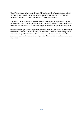"Sweet," she murmured half in shock as she felt another couple of inches slip deeper inside her. "More," she pleaded, but she was not sure which she was begging for - Chase in her increasingly wet pussy or to fully taste Chance. "Please, more, damn it."

Chance chuckled as he shifted on the bed, kneeling close enough to her face now that she could simply reach out and take what she wanted, and she did. Chance's cock forced its way deeper into her mouth even as his brother's forged new depths in her practically virgin cunt.

Another woman might have felt frightened, overcome even. Hell, she should be. Except that it was them. Chance and Chase. One thing she knew to the bottom of her heart, they would never do anything to hurt her. Never. So she smiled around Chance's thick cock as they began to move slowly inside her. See-sawing back and forth as their hands began to toy and torture her.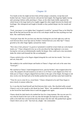### Chapter 10

Two hands on her tits might not have been all that unique a sensation, except that each brother had one. Chance toyed slowly with just her hard nipple. His fingertips lightly tracing and caressing it before softly pinching it. Chase, on the other hand, boldly squeezed the whole breast in his large hand as he roughly tugged the other nipple between his thumb and forefinger. She whimpered and fought to breathe as they pushed deeper into her mouth and pussy.

"Fuck, your pussy is even tighter than I imagined it would be," groaned Chase as he lifted his hips off the bed and forced the last inch of his cock deeper inside her than anything ever had been. She could barely breathe.

"Good girl, Katy-did. Do you have any idea how fucking hot you look right now with my cock between those sweet lips and my brother's buried between your other lips?" Chance growled as his other finger lightly caressed her cheek.

"How does it feel, princess? As good as I promised it would be to have both our cocks buried inside you." Chase whispered in her ear as his arm about her hips tightened, even more, forcing his cock just an infinitesimally smaller bit deeper. How could such a tiny movement shake the whole earth beneath her like an earthquake?

Chance smiled at her as his fingers slipped alongside his cock into her mouth, "Get it nice and wet, Katy-did."

She nodded as she suckled deeper and harder at Chance's finger and cock at the same time. "Good girl."

She watched as Chance's hand disappeared lower, past his brother's that wrapped about her waist. She jumped a bit and moaned as an inch or so of Chase's cock slipped out of her wet folds just as Chance's fingers slipped between them at the apex of her thighs. He began to rub slow circles over the hard nub as his brother pushed that inch and then some back inside her.

"Time for you to come for us, sweet Katie," Chance whispered as he and Chase began to move slowly in unison within her.

So, it was that she found herself spit fired between their cocks. She chuckled softly around Chance's cock in her mouth as she shook her head. "More," she mumbled around its thickness as she forced her head further down it until she gagged once again.

Chance shook his dark head as he studied her face for a long moment. She was not sure if it was what he found in her eyes or the way that she brought one hand up to tickle and tug softly at his balls that convinced him that she meant what she said. She pushed back against Chase's thick cock as well. "Just fuck me, alright," she commanded.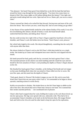"Our pleasure," she heard Chase growl from behind her as she felt his hand that had been around her breast wrap through her hair and pull gently. "You know how many times we dreamt of this? How many nights we fell asleep talking about this fantasy? Your tight cunt and pretty mouth taking both our cocks. Open and wet for us. Damn, girl, you run us a merry chase."

Chance caressed her cheek as he rocked his hips forward, forcing more and more of his cock down her throat. "But we have you now, sweet Katy-did. And we aren't letting you go either."

A tiny fissure of fear sparked briefly inside her at the solemn finality of his words. It was all a bit overwhelming after almost a decade of barely a word; she found herself naked, sandwiched between them, and talking about 'forever.'

But she could not deny how right it felt as Chase's fingers angled her head back a bit on his shoulder, and Chance's cock slid further down her throat. "Suck Chance's cock, princess."

Her whole body tingled at his words. She obeyed thoughtlessly, something that she rarely did with anyone other than them.

She almost choked on Chance's cock as she felt Chase's slide deep inside her on a single stroke. She looked up at Chance and whimpered once more when his cock slipped from her mouth.

His hands pressed her back gently until she lay cocooned, her back against Chase's chest. The increased pressure on her clitoris was mind-numbing until she closed her eyes and lost herself in the twin sensation of Chase's cock pounding her depths as Chance's fingers danced on her clit.

She thrashed her head against Chase's shoulder, as the feeling of hot breath and wet tongue on that same throbbing flesh where she was joined to Chase rolled over her in waves. Her eyes flew open, and she stared into the depths of Chase's.

"Feels good, doesn't it, Princess? My brother's tongue on your clit. My cock in your hole. Watch him! Watch him eat your pussy while I fuck it," he commanded as he began to thrust upwards, matching actions to words slowly.

Kaitlin was powerless to disobey. She looked down as she felt Chase begin to nibble on the side of her neck. She noticed that each of them had a breast in one hand. Yet it seemed that their strokes matched perfectly — one coordinated unit of pleasure.

Chase's other hand wrapped about her waist, holding her in place as his cock thrust slowly up into her open pussy. Her legs were spread wide now, indecently wide. They had to be to accommodate Chance's shoulders as he knelt on the bed between them. His tongue flicked back and forth on her clit as he used his other hand to keep her open for his exploration.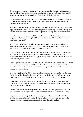It was more erotic than any porn she had ever watched, not that she had watched that much, but you did not get to almost thirty without seeing one or two on the Internet these days. It was also more arousing than any of the ménage books she had ever read.

She was wise enough to know that this was rare: for the reality to be better than the fantasy. But it was. Not even her wildest dream had come close to the sexual tension that strung between her and the brothers.

Kaitlin felt her whole body tightening. Felt tiny electrical tingles radiating out from her hard nipples that Chance and Chase were strumming in perfect harmony. Felt them bursting from the nub between Chance's teeth too. "That's it, princess. Fucking come on my brother's face."

She cried out as her body answered Chase's bold command. She felt his thick cock plunge deeper as her body arched up against Chance's handsome face. "That's right, come on my hard cock. Come hard."

Then Chance's face loomed over her. He was smiling wide as he captured her lips in a scorching kiss. She tasted herself on him. The unusual flavor was quickly becoming an addiction for her. He drew back slowly, "That's our good girl."

"Do it, Chance. Quit playing with her mind. We've waited a whole lifetime for this moment. Just fucking stick your cock in her. You got her wet enough," Chase growled from somewhere near her ear, but he never stopped kissing, licking, and nibbling her neck nor his cock pounding her wet pussy.

Chase's lips captured hers then. Yes, that was what she wanted, what she needed. She had felt Chase's cock inside her and tasted Chance's. Now she wanted to switch. To know if they tasted the same or different. If Chance fucked half as good as his brother. She wanted him as much as she wanted Chase.

Then she felt Chance's hand between them. She felt pressure and burning between her legs. And it dawned her then what they intended. She broke the hot kiss with Chase and looked into his eyes, "No," she shook her head. "You can't. It won't fit. Stop," she pleaded.

Chase nipped at the vein pounding so loudly in her neck that it echoed in her brain. As Chance bent closer on top of them both, he softly kissed the mouth that had only moments before swallowed his hard cock.

He broke the kiss and breathed against her lips, "It will, Katy-did. I promise we won't hurt you. Just relax. Feel how good it is — sandwiched between us. You are so wet. So ready."

He growled as he pushed just a fraction harder against her hole that was already filled to overflowing with his brother's hard cock. Her eyes flew open, and her breath froze in her lungs as she heard the almost audible pop of his cock joining his brothers.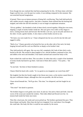Even though she now realized they had been preparing her for this. All those times with their fingers and her toys, over the past two weeks, it was nothing compared to this moment. She was stretched beyond imagination.

It burned. There was an intense pressure of being full, overflowing. They both held perfectly still, neither moved a single muscle. And after a moment, Katie realized that the burning had stopped, and while she still felt stretched, it was no longer an unpleasant sensation.

"Oh my goddess," she breathed as both of them slowly moved together, filling her even more, slipping a couple of inches further inside her. Her eyes grew even wider as they began to move, rocking slowly back and forward. She felt like a see-saw, up on one pole and down on the other. It took a gentle rhythm. A slow dance as three bodies moved as one.

"We knew you were made for us," Chase whispered into her ear as he bit into the lobe and tugged it softly.

"Both of us," Chance growled as he buried his face on the other side of her neck, his body lunging forward until his cock too filled her as deeply as his brother's had.

They held perfectly still again. She was now full, completely full, both of their thick cocks buried to the hilt. She sucked in deep lungfuls of air, and the brothers continued to kiss, lick, and nibble at her neck and shoulders. Four hands caressed and coaxed her body to life.

Katie wished she could see them. This was taboo. So taboo that only a couple of her hundreds of erotica books had dared to go there. And none of them did it justice. "Two poles..." she sighed.

"In one hole," the three of them finished in unison.

Chance lifted his head with a smile. "Is it as good as you imagined, our sweet Katy-did?"

She laughed, but then her breath caught in her throat once more, as the motion caused them to slip just a millimeter deeper, although how that was possible, she did not know.

Chase stirred beneath her, "We'll go slow. This time," he whispered, and she fought for air again.

"This time?" she dared to question.

The brothers began to rock gently once more. In and out. Out and in. Back and forth. Like the waves of the ocean just outside the window. Their tides ebbed and flowed over her. As tension built inside her body once more.

Then like a hurricane, the winds and waves picked up. The brothers quickened the pace. They thrust deeper and harder. More than she had ever imagined. Ever read about. Ever thought she could take. Her body felt like it would be torn asunder by the storm.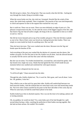She did not give a damn. Not a flying fuck. That was exactly what this felt like - fucking her way through the clouds, flying on invisible wings.

When the waves broke over her, she cried out. Screamed. Howled like the winds of that storm. Her whole body exploded. Then it imploded. The muscles of her cunt tried desperately to clinch and squeeze in time to the orgasm that wracked her very soul.

But it could not. There was no room. There was most definitely an edge of pain to it. The pleasure overpowered even that. As she rode the waves of the biggest orgasm of her life. Like that elusive 'big one' that all surfers sought, she hung in the air, suspended in time as it rolled on and on. And on.

She felt her lovers beneath and on top of her tremble and growl. Then she felt them explode as one in her. Most of their come was forced out, leaking between their bodies. There was simply no room inside her body for anything more. She was full.

Then she burst into tears. That wave crashed onto the shore. Because even the 'big one' breaks upon the beaches of life.

And everything of the past year washed like the detritus of a tsunami onto the shores. Her mother was gone. For the first time in her life, Kaitlin was all alone. And she allowed herself to actually feel the sorrow and fear that came with that realization.

But she was not alone. Two bodies bracketed her, cocooned her, and rocked her gently. Soft lips kissed every single tear away. Hands that had ignited the fires of hell inside her just moments before now soothed and comforted her with equal measure.

"Shhh," Chance whispered into her one ear.

"It will be all right," Chase answered into the other.

Through the sobs, Kaitlin choked out, "No, it won't be. She's gone, and I am all alone. I miss her. Oh, goddess, I miss her."

They rolled as one so that each lay upon their sides. Kaitlin still sandwiched between two hard muscular bodies. And she realized that two semi-hard cocks were still buried deep inside her. Not even when Chance reached for his jeans on the floor did either of the cocks slip out. When he came back, he held his small black phone in his hand.

Kaitlin looked up at him in shocked surprise. Now was not the time to be making a phone call or texting someone.

Oh, my goddess, he would not dare? Yes, some kinky part of her had thought for a split second about having a video, watching the perfection of their bodies moving together. But she had not been serious. He couldn't! He wouldn't.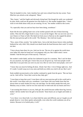Then he handed it to her. And a familiar face and voice echoed from the tiny screen. Tears filled her eyes afresh as she whispered, "Mom."

"Hey, honey," said the fragile and obviously dying head. But though the smile was weakened by pain, Katie could see the genuine love that shone in it. Her mother laughed then, "I don't want to even think about what you are wearing. Or not," her mother winked at the screen.

"Or, especially what you and our boys have been doing, sweetheart."

Katie felt the tears spilling faster now as her mother paused with one of those knowing smiles. Then she felt a finger brush it away. It was not her fingers. She was not even sure if it was Chance or Chase or both. She dared not look away to find out as she cupped the phone like the most precious gift in the world. "Oh, Mommy," she cried out in pain.

"Now, none of that, sweetie," her mother knew. Just as she had always known when anything bothered her only child. Why should even death break the bond between their souls? It would not dare.

"I have always been there for you. And you for me. The two of us against the world since your father left when he found out I was pregnant with you. But I didn't mind. I never minded. I had the best part of him anyway. I had you."

Her mother's smile faded, and her face darkened in pain for a moment, "But I can't be there for you anymore, my baby girl. I know that you are all grown up. And most people would think that it was past time you were on your own. But we were never most people, were we?"

"I know that you must be feeling all alone. Afraid. Sad. Hurt. A lot of things right now. And if I could, I would wrap you in my arms and hold you while you cried it all out. But I can't."

Katie nodded unconsciously as her mother continued to speak from the grave. "But our boys can be. And will be. I have their word on that, baby girl."

"I trust them to keep that word. I trust them with my most precious gift in this world and to this world. I trust them with you, sweetheart. I trust them with your tender heart that has always been so easily broken for stray cats and dogs. For the needy people that took your Mommy away at times. And for two lost souls that we both took into our hearts and lives."

"I am trusting their hearts to you too, little girl. Be careful because unlike those big, brawny, bodies" did her mother have the gall to fan herself, "those hearts are as fragile and tender as yours."

"Love them. Love them both. Love them both the same and different, just as I taught you all people deserve. Love them openly and proudly, even when the world condemns you all as sinners. Because in its foolish piety, it will."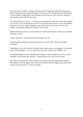She could see her mother was tiring. She knew that she must have taped this message just before slipping into the peaceful Neverland of the coma. The constant pain that had dimmed even her mother's bright light at the end hung over her thin face. She was only a shadow of the beautiful woman she had once been.

"It is just the three of you now — the three of you against the world. But I know that together you can do it. You can change this world. You can teach it how to love. Love as the goddess meant for us to love - freely, abundantly, and without fear. Do it for me. Do it for your mother, my beautiful children of the heart. I love you all."

Kaitlin looked at her lovers, her best friends, for what seemed forever. Their eyes were filled with tears, as well.

Chance spoke first, "Even the damned video makes me cry."

Chase kissed her shoulder and turned her head back to the screen, "She isn't finished, sweetheart."

"Remember, love is all you need. No matter what anyone says or what happens. You all had mine. And the goddess's. So, now take it into the world. And live my children. Live."

Her mother laughed, and for a heartbeat, the ravages of cancer slipped away, she was that beautiful, loving mother they all knew. "Nothing done in love can ever be wrong."

The screen went blank then. One of them took the phone from her numb fingers. Both of them held her close as together they cried away the pain until the laughter, joy, and yes, the loving overcame all else. As it always should.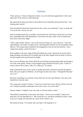## Epilogue

"Push, princess," Chance whispered in Katie's ear as he held and supported her in the waisthigh water of the Jacuzzi in their backyard.

She squeezed his hand extra hard as she looked over her shoulder and growled at him, "You fucking push, asshole."

Chase brushed the blond hair back from her face with a cool washcloth, "Come on, Katy-did. You can do this. I know you can."

Katie scrunched up her face as another contraction hit her. She had no choice but to do what they commanded. Her body demanded it, more than even they could, as she screamed and bore down with all her might.

"That's right, Kaitlin. Perfect. I can see the head crowning now. Just a bit more." They had roped Melody, her mother's hospice nurse, into being their midwife for this unorthodox home delivery. The young woman smiled her encouragement as she moved into position, "Just a couple more pushes, and he'll be here."

Katie nodded as she took a deep breath and pushed once more. She bit her lower lip until it began bleeding, and almost felt an audible pop as the baby slipped from her body to swim in the pink-tinged water just between her thighs.

But it was not Melody who slowly lifted the tiny kicking and squirming bundle and brought it out of the water gently. Chance's deep laughter rang around the fenced-in yard, "I think we need to discuss those names, folks. It's a little girl," he smiled.

Katie could barely focus on his words as another powerful contraction wracked through her body. Her eyes sought out Melody's as she began to push once more, "I thought the hard part was over?"

She knew something was seriously wrong when she saw how pale Melody's face got as she looked down into the water.

The young nurse turned to Chance, "I need you to clear her airway, then tie off her cord, and cut it. Keep her partially submerged in the warm water. Can you do that?"

Chance nodded, "I might be rusty, but yeah, we all took medic courses."

Then Melody turned back to face Katie and Chase, "Listen to me carefully. I need you to push like your life depended on it." She closed her eyes, and Katie trembled in Chase's arms as she saw a single tear slip from the corner of the woman's eye.

She shook her head, "No, Kaitlin, like your baby's life depends on it."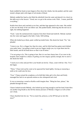Katie nodded her head as tears began to flow down her cheeks, but she pushed, and the water turned a deeper pink with tinges of red streaks of blood.

Melody nodded her head as she lifted the afterbirth from the water and placed it in a bowl on the table next to the Jacuzzi. "Good, now we get to the serious work. Push…I mean, push like everything."

Kaitlin bore down and watched as two feet, and then legs appeared in the water. She smiled as she saw the body of her son follow suit. She pushed harder, believing that the end was in sight, but nothing happened.

"Fuck," came the uncharacteristic response from their friend and midwife. Melody reached into the water and tugged at the baby's body. Still nothing.

When she looked up at them, panic welled up inside Katie. She shook her head, "No," she pleaded.

"Listen to me. He is a bigger boy than his sister, and his little head has gotten stuck behind your pubic bone. I am going to need to put my fingers inside you, try to get them into his little mouth, and tilt his head down so that it can fit better."

"I'm not going to lie. This is going to hurt. But it is our best chance here. If we were in the hospital, there might be a chance of getting you into surgery quickly enough, but we aren't," she shook her head.

"I need you to relax and just blow your breath out slowly. Chase, count with her. One. Two," she began.

"Three," Chase took up the count as he squeezed her hand tightly, forcing as reassuring a smile as he could onto his face.

"Four," Chance joined the symphony as he held their baby girl to his chest and firmly massaged her back in an upwards motion as she whimpered and cried.

It was as reassuring a sound as Kaitlin could imagine then. "Bring her here, please," she pleaded through the tears.

Chance looked towards Melody, who looked up just long enough to nod her head. Katie blew out another long breath as she felt the intense pressure of Melody's fingers as well as their son's body.

Chase chuckled into her ear, "Not as much fun, princess, as the DP that got us into this mess?"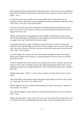Katie smiled up at him as she chuckled. Over the past year, Chase was once more returning to the jokester he had been in high school. Especially in those moments when the choice was to laugh …or cry.

So, between Chase's joke and the soft mewing crying of their newborn baby girl, she managed to make it through the long uncomfortable moments until Melody looked up at them with a smile, "Now push - really push, Kaitlin."

Katie bore down then with all the energy that she had been putting into denying her body's need to do just that. It only took one contraction, and the bluish-grey limp body of their son slipped into warm water.

Melody worked quickly, unwrapping the cord that tightly encircled his neck. But still, she kept his body submerged, rubbing his back and thumping his feet until he stretched and began to wiggle in the water. Only then did she smile weakly.

"I'm going to give him a couple of minutes to get used to this new world. As long as the umbilical cord is still pulsating, he will be fine. Once he begins to move a bit more, gets some color back in him, then we will cut the cord and let him join his baby sister in the real world. Okay, folks?" she explained.

It was the longest few moments, but all of them smiled and sighed in relief when Melody finally put her fingers into the little guy's mouth and began to clear his airway as she lifted him from the water.

Unlike his big baby sister, their son had a set of lungs on him, and he wanted to announce his presence to the world. Or perhaps protest at the rough ride getting him there. They were all laughing and crying as he wiggled and kicked at the air when Melody placed him on Kaitlin's bare chest.

Melody cursed again, "Damn it, we don't have a second set of clips for the cord or scissors either."

Their friend Deke, who had been silently filming the whole thing on and off for hours, spoke up, "Clean rope? Twist ties? Any of that work?"

Melody fidgeted a bit as she nodded without making eye contact with the man. "Rope if it is not too thick," she replied.

"How did this happen?" Chance asked as he gently laid their little girl next to her brother on Katie's chest.

Melody shook her head, "I don't know. Of course, you only wanted the one ultrasound, so all I can think is that she was hiding behind her big brother, and the sonographer did not notice."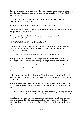Deke appeared again with a length of soft, thin rope, which she used to tie off the cord at both ends. She picked the scissors from the table, but this time handed them to Chase. "Think it is your turn this time."

He nodded and leaned forward as he smiled and cut the cord that had finally stopped pulsating. "So, what do we name them?"

Katie laughed, "There is only one real option…Artemis and Apollo."

Chance bent and kissed her, "Damn, you are determined to make their little lives hell on the playground, aren't you, Katy-did?"

"Artemis Joy and Skylar Apollo should work," she smiled as she began to adjust the babies so that they could breastfeed.

"Skylar?" asked Chase. "Why not stick with Daniel?"

"Protector…and shelter. That's what Skylar means. I figure he has earned that name for taking care of his little sister," she replied as she grimaced when the squalling baby boy latched on for the first time.

"Oh," Katie frowned as a smaller but still pronounced contraction hit her.

Melody nodded, "Last bad one, Kaitlin," she promised as she turned her attention to delivering the second afterbirth and inspecting both the placentas as the family bonded.

Chance smiled as he and Chase began the age-old ritual of new fathers around the world in all cultures: counting toes and fingers.

\*\*\*

Melody finished up as quickly as she could and helped the guys to get Kaitlin and the babies settled into bed. She had been surprised to discover that despite the traumatic birth, Kaitlin had not torn.

Then again, that was the least of the miracles that she had witnessed this night. As always, she had sensed something was terribly wrong as the small baby girl slipped from her friend's body.

But when she had looked down and seen that tiny grey foot protruding past the placenta that had nourished his sister for nine months, Melody had known she was in way over her head.

It had been almost seven years since her rotation in the maternity ward. No, she was much more accustomed at this point to ushering souls into what lay beyond this world than welcoming them into it. At that moment, she feared that was what she would be doing once more.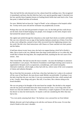Then she had felt the calm descend over her, almost heard the soothing voice. She recognized it immediately and knew that this little boy had a very special guardian angel. It shocked even her how quickly those forgotten lessons on footling breech births had come back to her. From that point, it indeed had been all textbook.

For once, Melody had not been the 'Angel of Death' as her colleagues at the hospital called her. Twenty-seven years old and her nickname was prophetically accurate.

Perhaps that was why she had gravitated to hospice care, for the little girl that could always see the dark cloud of death hanging over people, even strangers on the street, hospice nurse had seemed the natural career choice.

She sighed and smiled through the exhaustion as she made final checks on mother and babies. She was very relieved to see no sign of that familiar darkness around any of them. Even Sky, as they were calling him, seemed to have fully recovered from his frightening entrance into the world. She left a few final instructions with Chance as Chase watched over their partner and the babies.

It had been almost twenty hours since she had even napped during a brief lull in Kaitlin's labor. But as tired as she was, Melody knew that sleep would elude her as it so often did. She would like to blame the long labor, the complicated birth, anything but the real cause of her unease…him.

Their friend Deke. She had not seen the man in months - not since the barbeque to announce the foundation's new project. The Danvers Foundation would begin training cancer nurses in augmentative therapies such as acupuncture, aromatherapy, and cranial osteopathy. Alternative medicine, which might, as they had with Joy, relieve some of the worst symptoms of chemo and radiation therapies.

But as from that first encounter, on the boat, when they had taken Joy's ashes to be scattered off the coast of Seal Beach, the man always made Melody uncomfortable. Or perhaps it was the dark cloud that she saw over him. It was not as pronounced this time, which seemed odd to her. Usually, these things only grew. But still, it was there, like a demon sitting on his broad shoulders.

She was not going to let thoughts of the man haunt her tonight. She decided as she stepped onto the tiny porch and looked down the street towards the ocean. A nice long walk on the beach was what she needed to relax her — followed by a couple of glasses of wine and a nice hot shower to relax her tired muscles. Or maybe a cold one considering the effect that man had on her.

"You were pretty amazing back there," the baritone voice caressed her ear from behind.

Melody shivered, and it had nothing to do with the cool breeze off the ocean. Or even that cloud of death on this man's shoulder.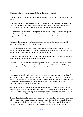It had everything to do with him…and what he did to her virgin body.

It had been a long couple of days. Who was she kidding? For Melody Rodriguez, it had been a long life.

Even brief moments of joy like this could not compensate for all the sadness and death she had known. Until she'd met Joy Danvers, Melody had herself often toyed with the idea of suicide. What was the point of life when all you saw around you was death?

But the woman had taught her - nothing done in love is ever wrong. So, she had brought that love to her job and found renewed strength to help others transition. If that were her sole purpose on this earth, then she would do. Do it with joy and in love as that amazing woman had shown her.

And this night, at least, she had been blessed to bring more of that special love into this world, in the forms of her mentor's grandchildren.

She did not know what the future held for those two tiny souls, but she knew that they were among the few blessed ones born to parents who loved and wanted them, who would protect and guide them. Yes, nothing done in love can ever be wrong.

"I was just going for a walk on the beach. Would you care to join me?" Melody found herself asking the man who both frightened and entranced her.

He nodded and smiled as that cloud shrunk just a bit more. "I'd like that. I don't think those three want me sticking around to video whatever happens next," he chuckled. "Although knowing Chance and Chase, it might be damned interesting."

\*\*\*

Kaitlin was exhausted, but her body thrummed with energy as she watched her son drift off to sleep at her breast. His sister had been asleep for several minutes already. Chase had looked almost frightened as he lifted the tiny scrap that was their daughter into the Moses basket next to their bed. They had agreed that the babies would share their room as she had her mother's…at least until they were a bit older.

She looked up just as Chance walked into the bedroom, still wet from the shower and in all his naked glory. You would think after living for over a year practically as men and wife, she would be used to seeing her stud puppies prancing around in their full glory, but she was not sure she ever would be. Most days, it all seemed like a dream.

Though she still missed her mother and probably always would, her work with the foundation allowed her to keep a special connection with the woman that had given birth and raised her — the woman who had been her best friend. Well, one of them as she watched the other two coo and awe over the tiny beings that were now their sacred trust to love and nurture.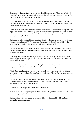Chance sat on the side of the bed next to her. "Hand him to me, and I'll put him to bed with his sister," he smiled as she carefully inserted her pinkie finger into the corner of their son's mouth to break his death grip latch on her breast.

"Hey, little man, we get you. Your dad and I agree - thems some pretty nice tits, but would you mind being a tad more careful with them. We are just loaning them to you. They are ours when you are done with them."

Chase chuckled from the other side of the bed. He rolled onto his side and softly squeezed the nipple that their son had been nursing upon. A clear yellowish liquid appeared at the end; he brought it to his lips and licked. "Screw what your other dad says, little man, this is share and share alike in this family."

Katie slapped at his hand as Chance settled the sleeping baby into the basket next to his sister. "You two better be good. You're dads now. That comes with lots of responsibility," she sighed, as the melancholy that sometimes still plagued her took hold.

Her mother should be here. Should be there to give her all the wisdom of her experience and the ages. But she was not. It was just another of the many things that she would never get to share with her Mom.

Chance opened the drawer on the nightstand next to their bed and pulled out the cell phone. He had upgraded months ago. So Katie knew instantly what was to come as she smiled and took it from his hand.

Her mother's face greeted her once more through the tears that they kissed away as fast as they appeared. She lay back nestled between them as Joy began to speak.

"Hello, baby girl. I don't have to tell you how much I wish I were there with you right now. Then again, I want to believe that somehow or the other, I will be. Be there for you. For those two."

Her mother laughed though it was weak, "Oh, I truly hope I am right and that I can be there to see those two changing their first diapers. It seems only fair mind you. You fill them up, and their dads clean it up on the other end."

"Thanks, Joy, we love you too," said Chase with a smile.

"I don't know I'm up for getting one of those man boob things like in that movie. I'll take my turn, feeding them," smiled Chance.

Katie could not stifle the laughter at the image of brawny Chance with a silicone boob strapped to his stunning pecs.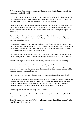Joy's voice came from the phone once more, "Just remember, Kaitlin, being a parent is the hardest easy job in this world."

"All you have to do is love them. Love them unconditionally as the goddess loves us. As she teaches us to love another. How is that coming with those two hunks, by the way? Can't be going too badly if you are watching this video," her mother chuckled.

"And my sweet girl, nothing done in love can ever be wrong. Teach that to this baby and any others you have. Oh, and if you have not already seen it, there is one more video I left you. Just ask the boys, and they will tell you how to earn that one too. I am so proud of you…of all of you."

"Give that baby a big kiss from grandma. Tell him…or her…that I am watching over them. I always will be, my love," Katie saw the tears sliding down her mother's face as she raised her hand and covered the screen.

"You know these videos were a real labor of love for your Mom. She was so damned weak then. But still, she insisted on making them so you would have something special from her on big occasions like this. She really loved you, Katy-did," Chance said as he took the phone from her fingers and placed it back on the nightstand.

"She isn't the only one though, princess. I know we may not say it often enough, but we love you so fucking much," Chase said as he drew her tighter and pressed a kiss to her forehead.

"Watch your language around the children, Chase," Katie chastised him half-heartedly.

Her boys laughed as Chance turned off the lamp, and they settled into the comfortably uncomfortable cocoon that they had adopted as the only viable option for three people to share her tiny double bed. Though the guys often complained about the tight squeeze, neither made any move to purchase a larger one.

"So, what did Mom mean when she said to ask you about how I earned the other video?"

Chance kissed her slowly and deeply before turning her for his brother to capture her lips. His hands settled on her hips and drew her closer to his hard erection. Even though they knew it would be weeks before they could resume their unusual love life, there was something intensely intimate and comforting just about being pressed closely against them.

"You sure you ready for that one, Katy-did?" he teased.

"I just gave birth to not one, but two babies. Without a single fucking drug, I might add. How hard can it be after that?"

Chase bit her ear and whispered, "Watch your language around the children, princess," as he playfully swatted her bottom.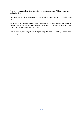"I guess you are right, Katy-did. After what you went through today," Chance whispered against her lips.

"Marrying us should be a piece of cake, princess," Chase purred into her ear. "Wedding cake that is."

Katie was not sure how serious they were, her two somber jokesters. But she was not to be deterred. "I'm game if you are. But wherever are we going to find your wedding cake with a bride…and two grooms on top," she kidded.

Chance chuckled, "We'll figure something out, Katy-did. After all…nothing done in love is ever wrong."